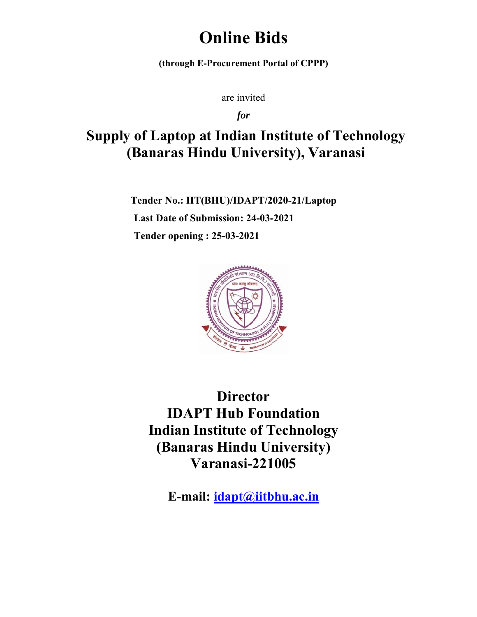# **Online Bids**

(through E-Procurement Portal of CPPP)

are invited

*for* 

# Supply of Laptop at Indian Institute of Technology **(Banaras Hindu University), Varanasi** e of Technolog<br>Varanasi<br>aptop<br>ity)<br><u>n</u>

**Ten nder No.: I IIT(BHU) /IDAPT/2 2020-21/La aptop Last Date of Submission: 24-03-2021 Ten nder open ning : 25-0 03-2021** 



**IDAPT Hub Foundation IDAPT Hub Foundation**<br> **Indian Institute of Technology (Banaras Hindu University) Di irector Varan nasi-221 1005** 

**E-m mail: ida apt@iitb bhu.ac.in**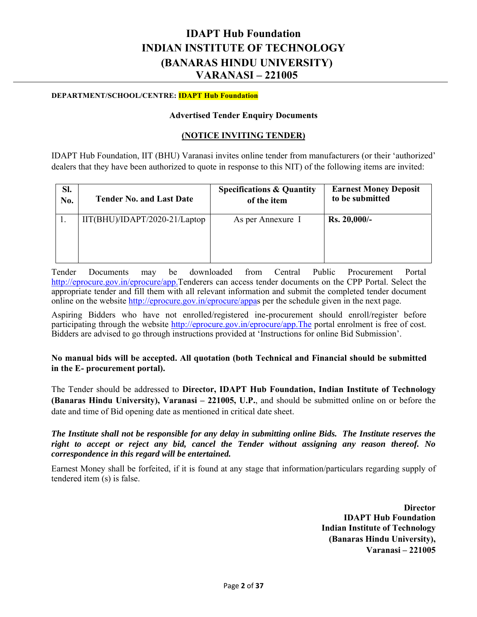# **IDAPT Hub Foundation INDIAN INSTITUTE OF TECHNOLOGY (BANARAS HINDU UNIVERSITY) VARANASI – 221005**

### **DEPARTMENT/SCHOOL/CENTRE: IDAPT Hub Foundation**

### **Advertised Tender Enquiry Documents**

### **(NOTICE INVITING TENDER)**

IDAPT Hub Foundation, IIT (BHU) Varanasi invites online tender from manufacturers (or their 'authorized' dealers that they have been authorized to quote in response to this NIT) of the following items are invited:

| SI. | <b>Tender No. and Last Date</b> | <b>Specifications &amp; Quantity</b> | <b>Earnest Money Deposit</b> |
|-----|---------------------------------|--------------------------------------|------------------------------|
| No. |                                 | of the item                          | to be submitted              |
|     | $IIT(BHU)/IDAPT/2020-21/Laptop$ | As per Annexure I                    | Rs. 20,000/-                 |

Tender Documents may be downloaded from Central Public Procurement Portal http://eprocure.gov.in/eprocure/app.Tenderers can access tender documents on the CPP Portal. Select the appropriate tender and fill them with all relevant information and submit the completed tender document online on the website http://eprocure.gov.in/eprocure/appas per the schedule given in the next page.

Aspiring Bidders who have not enrolled/registered ine-procurement should enroll/register before participating through the website http://eprocure.gov.in/eprocure/app.The portal enrolment is free of cost. Bidders are advised to go through instructions provided at 'Instructions for online Bid Submission'.

**No manual bids will be accepted. All quotation (both Technical and Financial should be submitted in the E- procurement portal).** 

The Tender should be addressed to **Director, IDAPT Hub Foundation, Indian Institute of Technology (Banaras Hindu University), Varanasi – 221005, U.P.**, and should be submitted online on or before the date and time of Bid opening date as mentioned in critical date sheet.

*The Institute shall not be responsible for any delay in submitting online Bids. The Institute reserves the right to accept or reject any bid, cancel the Tender without assigning any reason thereof. No correspondence in this regard will be entertained.* 

Earnest Money shall be forfeited, if it is found at any stage that information/particulars regarding supply of tendered item (s) is false.

> **Director IDAPT Hub Foundation Indian Institute of Technology (Banaras Hindu University), Varanasi – 221005**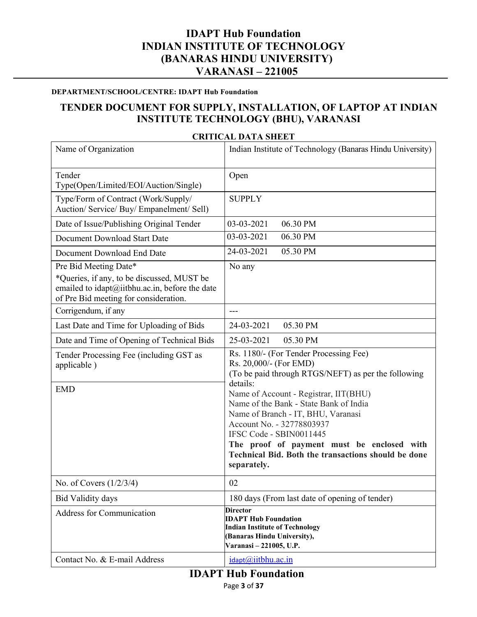# **IDAPT Hub Foundation INDIAN INSTITUTE OF TECHNOLOGY (BANARAS HINDU UNIVERSITY) VARANASI – 221005**

### **DEPARTMENT/SCHOOL/CENTRE: IDAPT Hub Foundation**

# **TENDER DOCUMENT FOR SUPPLY, INSTALLATION, OF LAPTOP AT INDIAN INSTITUTE TECHNOLOGY (BHU), VARANASI**

### Name of Organization Indian Institute of Technology (Banaras Hindu University) Tender Type(Open/Limited/EOI/Auction/Single) Open Type/Form of Contract (Work/Supply/ Auction/ Service/ Buy/ Empanelment/ Sell) **SUPPLY** Date of Issue/Publishing Original Tender | 03-03-2021 06.30 PM Document Download Start Date  $\begin{bmatrix} 03-03-2021 & 06.30 \end{bmatrix}$  PM Document Download End Date 24-03-2021 05.30 PM Pre Bid Meeting Date\* \*Queries, if any, to be discussed, MUST be emailed to idapt@iitbhu.ac.in, before the date of Pre Bid meeting for consideration. No any Corrigendum, if any  $\vert$  ---Last Date and Time for Uploading of Bids | 24-03-2021 05.30 PM Date and Time of Opening of Technical Bids 25-03-2021 05.30 PM Tender Processing Fee (including GST as applicable ) Rs. 1180/- (For Tender Processing Fee) Rs. 20,000/- (For EMD) (To be paid through RTGS/NEFT) as per the following details: Name of Account - Registrar, IIT(BHU) Name of the Bank - State Bank of India Name of Branch - IT, BHU, Varanasi Account No. - 32778803937 IFSC Code - SBIN0011445 **The proof of payment must be enclosed with Technical Bid. Both the transactions should be done separately.**  EMD No. of Covers  $(1/2/3/4)$  | 02 Bid Validity days 180 days (From last date of opening of tender) Address for Communication **Director IDAPT Hub Foundation Indian Institute of Technology (Banaras Hindu University), Varanasi – 221005, U.P.** Contact No.  $&$  E-mail Address in ident  $\omega$ iitbhu.ac.in

### **CRITICAL DATA SHEET**

# **IDAPT Hub Foundation**

Page **3** of **37**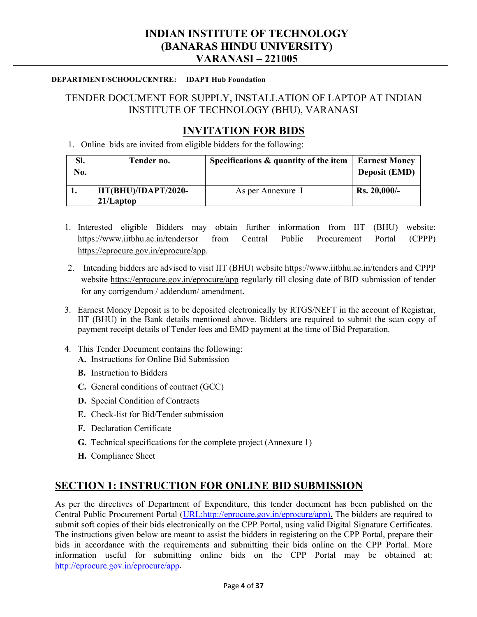# **INDIAN INSTITUTE OF TECHNOLOGY (BANARAS HINDU UNIVERSITY) VARANASI – 221005**

### **DEPARTMENT/SCHOOL/CENTRE: IDAPT Hub Foundation**

# TENDER DOCUMENT FOR SUPPLY, INSTALLATION OF LAPTOP AT INDIAN INSTITUTE OF TECHNOLOGY (BHU), VARANASI

# **INVITATION FOR BIDS**

1. Online bids are invited from eligible bidders for the following:

| SI.<br>No. | Tender no.                           | Specifications & quantity of the item | <b>Earnest Money</b><br><b>Deposit (EMD)</b> |
|------------|--------------------------------------|---------------------------------------|----------------------------------------------|
|            | IIT(BHU)/IDAPT/2020-<br>$21/L$ aptop | As per Annexure I                     | Rs. 20,000/                                  |

- 1. Interested eligible Bidders may obtain further information from IIT (BHU) website: https://www.iitbhu.ac.in/tendersor from Central Public Procurement Portal (CPPP) https://eprocure.gov.in/eprocure/app.
- 2. Intending bidders are advised to visit IIT (BHU) website https://www.iitbhu.ac.in/tenders and CPPP website https://eprocure.gov.in/eprocure/app regularly till closing date of BID submission of tender for any corrigendum / addendum/ amendment.
- 3. Earnest Money Deposit is to be deposited electronically by RTGS/NEFT in the account of Registrar, IIT (BHU) in the Bank details mentioned above. Bidders are required to submit the scan copy of payment receipt details of Tender fees and EMD payment at the time of Bid Preparation.
- 4. This Tender Document contains the following:
	- **A.** Instructions for Online Bid Submission
	- **B.** Instruction to Bidders
	- **C.** General conditions of contract (GCC)
	- **D.** Special Condition of Contracts
	- **E.** Check-list for Bid/Tender submission
	- **F.** Declaration Certificate
	- **G.** Technical specifications for the complete project (Annexure 1)
	- **H.** Compliance Sheet

# **SECTION 1: INSTRUCTION FOR ONLINE BID SUBMISSION**

As per the directives of Department of Expenditure, this tender document has been published on the Central Public Procurement Portal (URL:http://eprocure.gov.in/eprocure/app). The bidders are required to submit soft copies of their bids electronically on the CPP Portal, using valid Digital Signature Certificates. The instructions given below are meant to assist the bidders in registering on the CPP Portal, prepare their bids in accordance with the requirements and submitting their bids online on the CPP Portal. More information useful for submitting online bids on the CPP Portal may be obtained at: http://eprocure.gov.in/eprocure/app.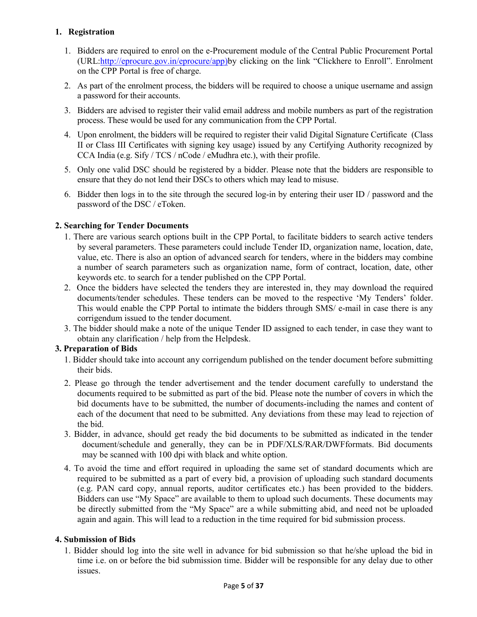### **1. Registration**

- 1. Bidders are required to enrol on the e-Procurement module of the Central Public Procurement Portal (URL:http://eprocure.gov.in/eprocure/app)by clicking on the link "Clickhere to Enroll". Enrolment on the CPP Portal is free of charge.
- 2. As part of the enrolment process, the bidders will be required to choose a unique username and assign a password for their accounts.
- 3. Bidders are advised to register their valid email address and mobile numbers as part of the registration process. These would be used for any communication from the CPP Portal.
- 4. Upon enrolment, the bidders will be required to register their valid Digital Signature Certificate (Class II or Class III Certificates with signing key usage) issued by any Certifying Authority recognized by CCA India (e.g. Sify / TCS / nCode / eMudhra etc.), with their profile.
- 5. Only one valid DSC should be registered by a bidder. Please note that the bidders are responsible to ensure that they do not lend their DSCs to others which may lead to misuse.
- 6. Bidder then logs in to the site through the secured log-in by entering their user ID / password and the password of the DSC / eToken.

### **2. Searching for Tender Documents**

- 1. There are various search options built in the CPP Portal, to facilitate bidders to search active tenders by several parameters. These parameters could include Tender ID, organization name, location, date, value, etc. There is also an option of advanced search for tenders, where in the bidders may combine a number of search parameters such as organization name, form of contract, location, date, other keywords etc. to search for a tender published on the CPP Portal.
- 2. Once the bidders have selected the tenders they are interested in, they may download the required documents/tender schedules. These tenders can be moved to the respective 'My Tenders' folder. This would enable the CPP Portal to intimate the bidders through SMS/ e-mail in case there is any corrigendum issued to the tender document.
- 3. The bidder should make a note of the unique Tender ID assigned to each tender, in case they want to obtain any clarification / help from the Helpdesk.

### **3. Preparation of Bids**

- 1. Bidder should take into account any corrigendum published on the tender document before submitting their bids.
- 2. Please go through the tender advertisement and the tender document carefully to understand the documents required to be submitted as part of the bid. Please note the number of covers in which the bid documents have to be submitted, the number of documents-including the names and content of each of the document that need to be submitted. Any deviations from these may lead to rejection of the bid.
- 3. Bidder, in advance, should get ready the bid documents to be submitted as indicated in the tender document/schedule and generally, they can be in PDF/XLS/RAR/DWFformats. Bid documents may be scanned with 100 dpi with black and white option.
- 4. To avoid the time and effort required in uploading the same set of standard documents which are required to be submitted as a part of every bid, a provision of uploading such standard documents (e.g. PAN card copy, annual reports, auditor certificates etc.) has been provided to the bidders. Bidders can use "My Space" are available to them to upload such documents. These documents may be directly submitted from the "My Space" are a while submitting abid, and need not be uploaded again and again. This will lead to a reduction in the time required for bid submission process.

### **4. Submission of Bids**

1. Bidder should log into the site well in advance for bid submission so that he/she upload the bid in time i.e. on or before the bid submission time. Bidder will be responsible for any delay due to other issues.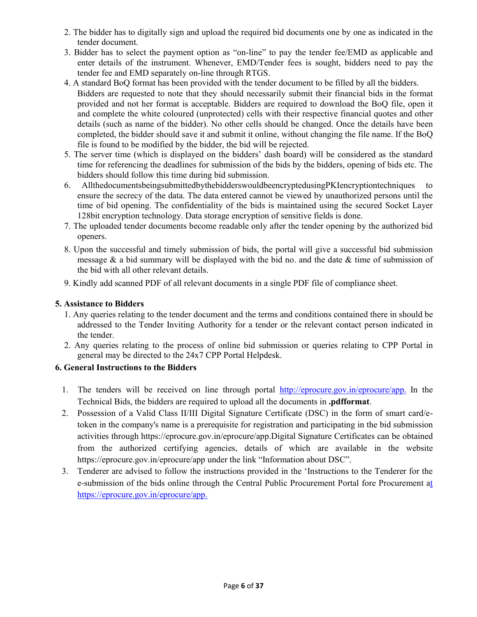- 2. The bidder has to digitally sign and upload the required bid documents one by one as indicated in the tender document.
- 3. Bidder has to select the payment option as "on-line" to pay the tender fee/EMD as applicable and enter details of the instrument. Whenever, EMD/Tender fees is sought, bidders need to pay the tender fee and EMD separately on-line through RTGS.
- 4. A standard BoQ format has been provided with the tender document to be filled by all the bidders. Bidders are requested to note that they should necessarily submit their financial bids in the format provided and not her format is acceptable. Bidders are required to download the BoQ file, open it and complete the white coloured (unprotected) cells with their respective financial quotes and other details (such as name of the bidder). No other cells should be changed. Once the details have been completed, the bidder should save it and submit it online, without changing the file name. If the BoQ file is found to be modified by the bidder, the bid will be rejected.
- 5. The server time (which is displayed on the bidders' dash board) will be considered as the standard time for referencing the deadlines for submission of the bids by the bidders, opening of bids etc. The bidders should follow this time during bid submission.
- 6. AllthedocumentsbeingsubmittedbythebidderswouldbeencryptedusingPKIencryptiontechniques to ensure the secrecy of the data. The data entered cannot be viewed by unauthorized persons until the time of bid opening. The confidentiality of the bids is maintained using the secured Socket Layer 128bit encryption technology. Data storage encryption of sensitive fields is done.
- 7. The uploaded tender documents become readable only after the tender opening by the authorized bid openers.
- 8. Upon the successful and timely submission of bids, the portal will give a successful bid submission message  $\&$  a bid summary will be displayed with the bid no. and the date  $\&$  time of submission of the bid with all other relevant details.
- 9. Kindly add scanned PDF of all relevant documents in a single PDF file of compliance sheet.

### **5. Assistance to Bidders**

- 1. Any queries relating to the tender document and the terms and conditions contained there in should be addressed to the Tender Inviting Authority for a tender or the relevant contact person indicated in the tender.
- 2. Any queries relating to the process of online bid submission or queries relating to CPP Portal in general may be directed to the 24x7 CPP Portal Helpdesk.

### **6. General Instructions to the Bidders**

- 1. The tenders will be received on line through portal http://eprocure.gov.in/eprocure/app. In the Technical Bids, the bidders are required to upload all the documents in **.pdfformat**.
- 2. Possession of a Valid Class II/III Digital Signature Certificate (DSC) in the form of smart card/etoken in the company's name is a prerequisite for registration and participating in the bid submission activities through https://eprocure.gov.in/eprocure/app.Digital Signature Certificates can be obtained from the authorized certifying agencies, details of which are available in the website https://eprocure.gov.in/eprocure/app under the link "Information about DSC".
- 3. Tenderer are advised to follow the instructions provided in the 'Instructions to the Tenderer for the e-submission of the bids online through the Central Public Procurement Portal fore Procurement at https://eprocure.gov.in/eprocure/app.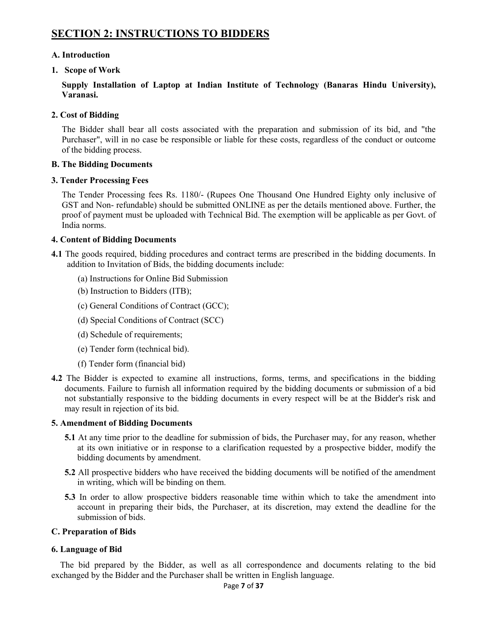# **SECTION 2: INSTRUCTIONS TO BIDDERS**

### **A. Introduction**

### **1. Scope of Work**

**Supply Installation of Laptop at Indian Institute of Technology (Banaras Hindu University), Varanasi.** 

### **2. Cost of Bidding**

The Bidder shall bear all costs associated with the preparation and submission of its bid, and "the Purchaser", will in no case be responsible or liable for these costs, regardless of the conduct or outcome of the bidding process.

### **B. The Bidding Documents**

### **3. Tender Processing Fees**

The Tender Processing fees Rs. 1180/- (Rupees One Thousand One Hundred Eighty only inclusive of GST and Non- refundable) should be submitted ONLINE as per the details mentioned above. Further, the proof of payment must be uploaded with Technical Bid. The exemption will be applicable as per Govt. of India norms.

### **4. Content of Bidding Documents**

**4.1** The goods required, bidding procedures and contract terms are prescribed in the bidding documents. In addition to Invitation of Bids, the bidding documents include:

- (a) Instructions for Online Bid Submission
- (b) Instruction to Bidders (ITB);
- (c) General Conditions of Contract (GCC);
- (d) Special Conditions of Contract (SCC)
- (d) Schedule of requirements;
- (e) Tender form (technical bid).
- (f) Tender form (financial bid)
- **4.2** The Bidder is expected to examine all instructions, forms, terms, and specifications in the bidding documents. Failure to furnish all information required by the bidding documents or submission of a bid not substantially responsive to the bidding documents in every respect will be at the Bidder's risk and may result in rejection of its bid.

### **5. Amendment of Bidding Documents**

- **5.1** At any time prior to the deadline for submission of bids, the Purchaser may, for any reason, whether at its own initiative or in response to a clarification requested by a prospective bidder, modify the bidding documents by amendment.
- **5.2** All prospective bidders who have received the bidding documents will be notified of the amendment in writing, which will be binding on them.
- **5.3** In order to allow prospective bidders reasonable time within which to take the amendment into account in preparing their bids, the Purchaser, at its discretion, may extend the deadline for the submission of bids.

### **C. Preparation of Bids**

### **6. Language of Bid**

The bid prepared by the Bidder, as well as all correspondence and documents relating to the bid exchanged by the Bidder and the Purchaser shall be written in English language.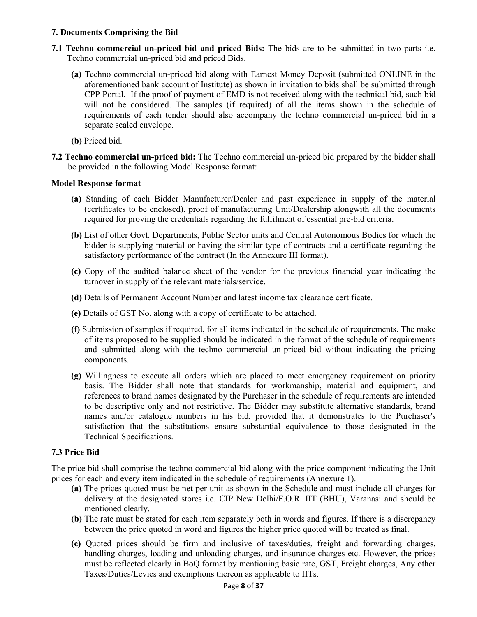### **7. Documents Comprising the Bid**

- **7.1 Techno commercial un-priced bid and priced Bids:** The bids are to be submitted in two parts i.e. Techno commercial un-priced bid and priced Bids.
	- **(a)** Techno commercial un-priced bid along with Earnest Money Deposit (submitted ONLINE in the aforementioned bank account of Institute) as shown in invitation to bids shall be submitted through CPP Portal. If the proof of payment of EMD is not received along with the technical bid, such bid will not be considered. The samples (if required) of all the items shown in the schedule of requirements of each tender should also accompany the techno commercial un-priced bid in a separate sealed envelope.
	- **(b)** Priced bid.
- **7.2 Techno commercial un-priced bid:** The Techno commercial un-priced bid prepared by the bidder shall be provided in the following Model Response format:

### **Model Response format**

- **(a)** Standing of each Bidder Manufacturer/Dealer and past experience in supply of the material (certificates to be enclosed), proof of manufacturing Unit/Dealership alongwith all the documents required for proving the credentials regarding the fulfilment of essential pre-bid criteria.
- **(b)** List of other Govt. Departments, Public Sector units and Central Autonomous Bodies for which the bidder is supplying material or having the similar type of contracts and a certificate regarding the satisfactory performance of the contract (In the Annexure III format).
- **(c)** Copy of the audited balance sheet of the vendor for the previous financial year indicating the turnover in supply of the relevant materials/service.
- **(d)** Details of Permanent Account Number and latest income tax clearance certificate.
- **(e)** Details of GST No. along with a copy of certificate to be attached.
- **(f)** Submission of samples if required, for all items indicated in the schedule of requirements. The make of items proposed to be supplied should be indicated in the format of the schedule of requirements and submitted along with the techno commercial un-priced bid without indicating the pricing components.
- **(g)** Willingness to execute all orders which are placed to meet emergency requirement on priority basis. The Bidder shall note that standards for workmanship, material and equipment, and references to brand names designated by the Purchaser in the schedule of requirements are intended to be descriptive only and not restrictive. The Bidder may substitute alternative standards, brand names and/or catalogue numbers in his bid, provided that it demonstrates to the Purchaser's satisfaction that the substitutions ensure substantial equivalence to those designated in the Technical Specifications.

### **7.3 Price Bid**

The price bid shall comprise the techno commercial bid along with the price component indicating the Unit prices for each and every item indicated in the schedule of requirements (Annexure 1).

- **(a)** The prices quoted must be net per unit as shown in the Schedule and must include all charges for delivery at the designated stores i.e. CIP New Delhi/F.O.R. IIT (BHU), Varanasi and should be mentioned clearly.
- **(b)** The rate must be stated for each item separately both in words and figures. If there is a discrepancy between the price quoted in word and figures the higher price quoted will be treated as final.
- **(c)** Quoted prices should be firm and inclusive of taxes/duties, freight and forwarding charges, handling charges, loading and unloading charges, and insurance charges etc. However, the prices must be reflected clearly in BoQ format by mentioning basic rate, GST, Freight charges, Any other Taxes/Duties/Levies and exemptions thereon as applicable to IITs.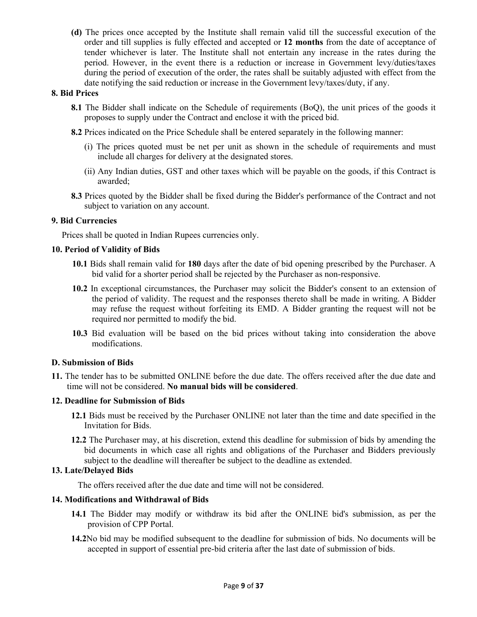**(d)** The prices once accepted by the Institute shall remain valid till the successful execution of the order and till supplies is fully effected and accepted or **12 months** from the date of acceptance of tender whichever is later. The Institute shall not entertain any increase in the rates during the period. However, in the event there is a reduction or increase in Government levy/duties/taxes during the period of execution of the order, the rates shall be suitably adjusted with effect from the date notifying the said reduction or increase in the Government levy/taxes/duty, if any.

### **8. Bid Prices**

- **8.1** The Bidder shall indicate on the Schedule of requirements (BoQ), the unit prices of the goods it proposes to supply under the Contract and enclose it with the priced bid.
- **8.2** Prices indicated on the Price Schedule shall be entered separately in the following manner:
	- (i) The prices quoted must be net per unit as shown in the schedule of requirements and must include all charges for delivery at the designated stores.
	- (ii) Any Indian duties, GST and other taxes which will be payable on the goods, if this Contract is awarded;
- **8.3** Prices quoted by the Bidder shall be fixed during the Bidder's performance of the Contract and not subject to variation on any account.

### **9. Bid Currencies**

Prices shall be quoted in Indian Rupees currencies only.

### **10. Period of Validity of Bids**

- **10.1** Bids shall remain valid for **180** days after the date of bid opening prescribed by the Purchaser. A bid valid for a shorter period shall be rejected by the Purchaser as non-responsive.
- **10.2** In exceptional circumstances, the Purchaser may solicit the Bidder's consent to an extension of the period of validity. The request and the responses thereto shall be made in writing. A Bidder may refuse the request without forfeiting its EMD. A Bidder granting the request will not be required nor permitted to modify the bid.
- **10.3** Bid evaluation will be based on the bid prices without taking into consideration the above modifications.

### **D. Submission of Bids**

**11.** The tender has to be submitted ONLINE before the due date. The offers received after the due date and time will not be considered. **No manual bids will be considered**.

### **12. Deadline for Submission of Bids**

- **12.1** Bids must be received by the Purchaser ONLINE not later than the time and date specified in the Invitation for Bids.
- **12.2** The Purchaser may, at his discretion, extend this deadline for submission of bids by amending the bid documents in which case all rights and obligations of the Purchaser and Bidders previously subject to the deadline will thereafter be subject to the deadline as extended.

### **13. Late/Delayed Bids**

The offers received after the due date and time will not be considered.

### **14. Modifications and Withdrawal of Bids**

- **14.1** The Bidder may modify or withdraw its bid after the ONLINE bid's submission, as per the provision of CPP Portal.
- **14.2**No bid may be modified subsequent to the deadline for submission of bids. No documents will be accepted in support of essential pre-bid criteria after the last date of submission of bids.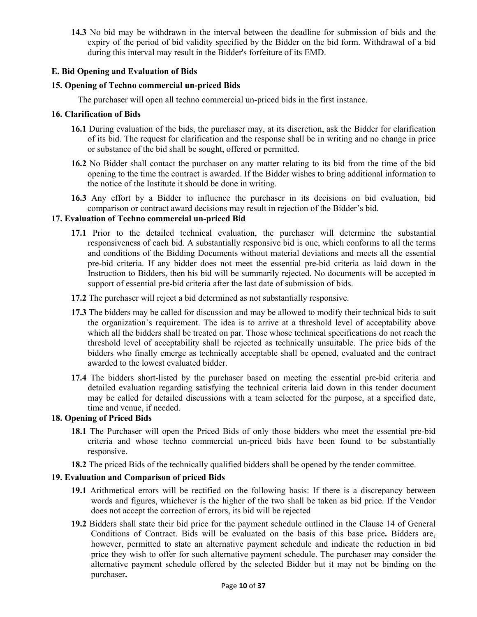**14.3** No bid may be withdrawn in the interval between the deadline for submission of bids and the expiry of the period of bid validity specified by the Bidder on the bid form. Withdrawal of a bid during this interval may result in the Bidder's forfeiture of its EMD.

### **E. Bid Opening and Evaluation of Bids**

### **15. Opening of Techno commercial un-priced Bids**

The purchaser will open all techno commercial un-priced bids in the first instance.

### **16. Clarification of Bids**

- **16.1** During evaluation of the bids, the purchaser may, at its discretion, ask the Bidder for clarification of its bid. The request for clarification and the response shall be in writing and no change in price or substance of the bid shall be sought, offered or permitted.
- **16.2** No Bidder shall contact the purchaser on any matter relating to its bid from the time of the bid opening to the time the contract is awarded. If the Bidder wishes to bring additional information to the notice of the Institute it should be done in writing.
- **16.3** Any effort by a Bidder to influence the purchaser in its decisions on bid evaluation, bid comparison or contract award decisions may result in rejection of the Bidder's bid.

### **17. Evaluation of Techno commercial un-priced Bid**

- **17.1** Prior to the detailed technical evaluation, the purchaser will determine the substantial responsiveness of each bid. A substantially responsive bid is one, which conforms to all the terms and conditions of the Bidding Documents without material deviations and meets all the essential pre-bid criteria. If any bidder does not meet the essential pre-bid criteria as laid down in the Instruction to Bidders, then his bid will be summarily rejected. No documents will be accepted in support of essential pre-bid criteria after the last date of submission of bids.
- **17.2** The purchaser will reject a bid determined as not substantially responsive.
- **17.3** The bidders may be called for discussion and may be allowed to modify their technical bids to suit the organization's requirement. The idea is to arrive at a threshold level of acceptability above which all the bidders shall be treated on par. Those whose technical specifications do not reach the threshold level of acceptability shall be rejected as technically unsuitable. The price bids of the bidders who finally emerge as technically acceptable shall be opened, evaluated and the contract awarded to the lowest evaluated bidder.
- **17.4** The bidders short-listed by the purchaser based on meeting the essential pre-bid criteria and detailed evaluation regarding satisfying the technical criteria laid down in this tender document may be called for detailed discussions with a team selected for the purpose, at a specified date, time and venue, if needed.

### **18. Opening of Priced Bids**

- **18.1** The Purchaser will open the Priced Bids of only those bidders who meet the essential pre-bid criteria and whose techno commercial un-priced bids have been found to be substantially responsive.
- **18.2** The priced Bids of the technically qualified bidders shall be opened by the tender committee.

### **19. Evaluation and Comparison of priced Bids**

- **19.1** Arithmetical errors will be rectified on the following basis: If there is a discrepancy between words and figures, whichever is the higher of the two shall be taken as bid price. If the Vendor does not accept the correction of errors, its bid will be rejected
- **19.2** Bidders shall state their bid price for the payment schedule outlined in the Clause 14 of General Conditions of Contract. Bids will be evaluated on the basis of this base price**.** Bidders are, however, permitted to state an alternative payment schedule and indicate the reduction in bid price they wish to offer for such alternative payment schedule. The purchaser may consider the alternative payment schedule offered by the selected Bidder but it may not be binding on the purchaser**.**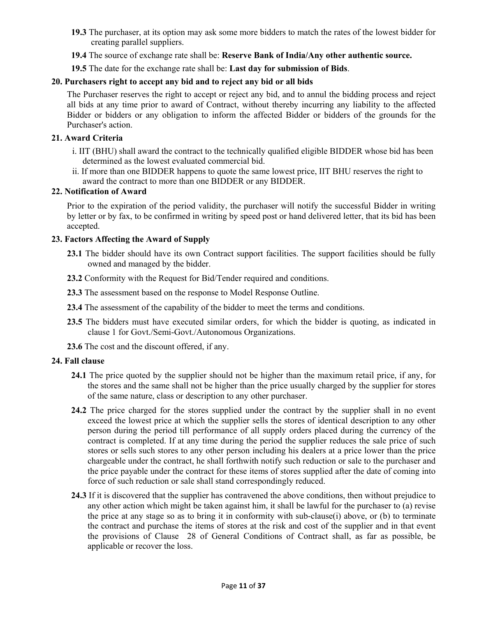- **19.3** The purchaser, at its option may ask some more bidders to match the rates of the lowest bidder for creating parallel suppliers.
- **19.4** The source of exchange rate shall be: **Reserve Bank of India/Any other authentic source.**
- **19.5** The date for the exchange rate shall be: **Last day for submission of Bids**.

### **20. Purchasers right to accept any bid and to reject any bid or all bids**

The Purchaser reserves the right to accept or reject any bid, and to annul the bidding process and reject all bids at any time prior to award of Contract, without thereby incurring any liability to the affected Bidder or bidders or any obligation to inform the affected Bidder or bidders of the grounds for the Purchaser's action.

### **21. Award Criteria**

- i. IIT (BHU) shall award the contract to the technically qualified eligible BIDDER whose bid has been determined as the lowest evaluated commercial bid.
- ii. If more than one BIDDER happens to quote the same lowest price, IIT BHU reserves the right to award the contract to more than one BIDDER or any BIDDER.

### **22. Notification of Award**

Prior to the expiration of the period validity, the purchaser will notify the successful Bidder in writing by letter or by fax, to be confirmed in writing by speed post or hand delivered letter, that its bid has been accepted.

### **23. Factors Affecting the Award of Supply**

- 23.1 The bidder should have its own Contract support facilities. The support facilities should be fully owned and managed by the bidder.
- **23.2** Conformity with the Request for Bid/Tender required and conditions.
- **23.3** The assessment based on the response to Model Response Outline.
- **23.4** The assessment of the capability of the bidder to meet the terms and conditions.
- **23.5** The bidders must have executed similar orders, for which the bidder is quoting, as indicated in clause 1 for Govt./Semi-Govt./Autonomous Organizations.
- **23.6** The cost and the discount offered, if any.

### **24. Fall clause**

- **24.1** The price quoted by the supplier should not be higher than the maximum retail price, if any, for the stores and the same shall not be higher than the price usually charged by the supplier for stores of the same nature, class or description to any other purchaser.
- **24.2** The price charged for the stores supplied under the contract by the supplier shall in no event exceed the lowest price at which the supplier sells the stores of identical description to any other person during the period till performance of all supply orders placed during the currency of the contract is completed. If at any time during the period the supplier reduces the sale price of such stores or sells such stores to any other person including his dealers at a price lower than the price chargeable under the contract, he shall forthwith notify such reduction or sale to the purchaser and the price payable under the contract for these items of stores supplied after the date of coming into force of such reduction or sale shall stand correspondingly reduced.
- **24.3** If it is discovered that the supplier has contravened the above conditions, then without prejudice to any other action which might be taken against him, it shall be lawful for the purchaser to (a) revise the price at any stage so as to bring it in conformity with sub-clause(i) above, or (b) to terminate the contract and purchase the items of stores at the risk and cost of the supplier and in that event the provisions of Clause 28 of General Conditions of Contract shall, as far as possible, be applicable or recover the loss.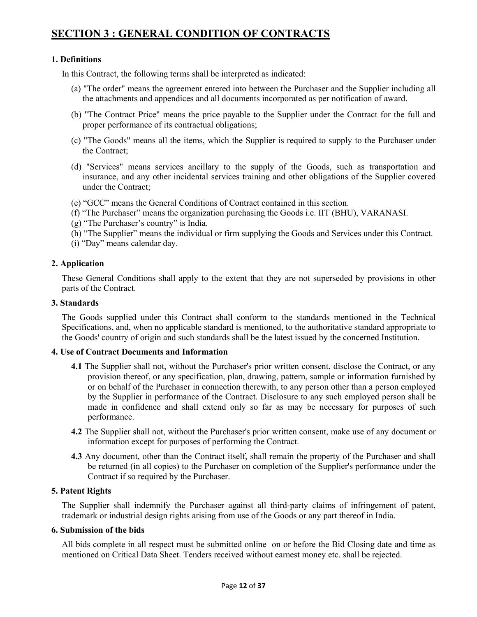# **SECTION 3 : GENERAL CONDITION OF CONTRACTS**

### **1. Definitions**

In this Contract, the following terms shall be interpreted as indicated:

- (a) "The order" means the agreement entered into between the Purchaser and the Supplier including all the attachments and appendices and all documents incorporated as per notification of award.
- (b) "The Contract Price" means the price payable to the Supplier under the Contract for the full and proper performance of its contractual obligations;
- (c) "The Goods" means all the items, which the Supplier is required to supply to the Purchaser under the Contract;
- (d) "Services" means services ancillary to the supply of the Goods, such as transportation and insurance, and any other incidental services training and other obligations of the Supplier covered under the Contract;
- (e) "GCC" means the General Conditions of Contract contained in this section.
- (f) "The Purchaser" means the organization purchasing the Goods i.e. IIT (BHU), VARANASI.
- (g) "The Purchaser's country" is India.
- (h) "The Supplier" means the individual or firm supplying the Goods and Services under this Contract.
- (i) "Day" means calendar day.

### **2. Application**

These General Conditions shall apply to the extent that they are not superseded by provisions in other parts of the Contract.

### **3. Standards**

The Goods supplied under this Contract shall conform to the standards mentioned in the Technical Specifications, and, when no applicable standard is mentioned, to the authoritative standard appropriate to the Goods' country of origin and such standards shall be the latest issued by the concerned Institution.

### **4. Use of Contract Documents and Information**

- **4.1** The Supplier shall not, without the Purchaser's prior written consent, disclose the Contract, or any provision thereof, or any specification, plan, drawing, pattern, sample or information furnished by or on behalf of the Purchaser in connection therewith, to any person other than a person employed by the Supplier in performance of the Contract. Disclosure to any such employed person shall be made in confidence and shall extend only so far as may be necessary for purposes of such performance.
- **4.2** The Supplier shall not, without the Purchaser's prior written consent, make use of any document or information except for purposes of performing the Contract.
- **4.3** Any document, other than the Contract itself, shall remain the property of the Purchaser and shall be returned (in all copies) to the Purchaser on completion of the Supplier's performance under the Contract if so required by the Purchaser.

### **5. Patent Rights**

The Supplier shall indemnify the Purchaser against all third-party claims of infringement of patent, trademark or industrial design rights arising from use of the Goods or any part thereof in India.

### **6. Submission of the bids**

All bids complete in all respect must be submitted online on or before the Bid Closing date and time as mentioned on Critical Data Sheet. Tenders received without earnest money etc. shall be rejected.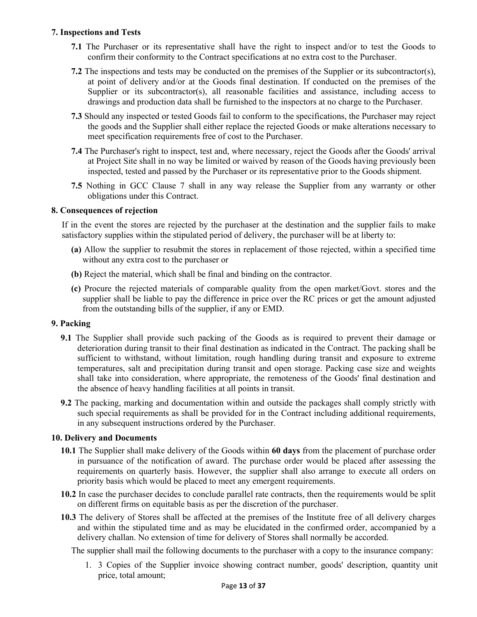### **7. Inspections and Tests**

- **7.1** The Purchaser or its representative shall have the right to inspect and/or to test the Goods to confirm their conformity to the Contract specifications at no extra cost to the Purchaser.
- **7.2** The inspections and tests may be conducted on the premises of the Supplier or its subcontractor(s), at point of delivery and/or at the Goods final destination. If conducted on the premises of the Supplier or its subcontractor(s), all reasonable facilities and assistance, including access to drawings and production data shall be furnished to the inspectors at no charge to the Purchaser.
- **7.3** Should any inspected or tested Goods fail to conform to the specifications, the Purchaser may reject the goods and the Supplier shall either replace the rejected Goods or make alterations necessary to meet specification requirements free of cost to the Purchaser.
- **7.4** The Purchaser's right to inspect, test and, where necessary, reject the Goods after the Goods' arrival at Project Site shall in no way be limited or waived by reason of the Goods having previously been inspected, tested and passed by the Purchaser or its representative prior to the Goods shipment.
- **7.5** Nothing in GCC Clause 7 shall in any way release the Supplier from any warranty or other obligations under this Contract.

### **8. Consequences of rejection**

If in the event the stores are rejected by the purchaser at the destination and the supplier fails to make satisfactory supplies within the stipulated period of delivery, the purchaser will be at liberty to:

- **(a)** Allow the supplier to resubmit the stores in replacement of those rejected, within a specified time without any extra cost to the purchaser or
- **(b)** Reject the material, which shall be final and binding on the contractor.
- **(c)** Procure the rejected materials of comparable quality from the open market/Govt. stores and the supplier shall be liable to pay the difference in price over the RC prices or get the amount adjusted from the outstanding bills of the supplier, if any or EMD.

### **9. Packing**

- **9.1** The Supplier shall provide such packing of the Goods as is required to prevent their damage or deterioration during transit to their final destination as indicated in the Contract. The packing shall be sufficient to withstand, without limitation, rough handling during transit and exposure to extreme temperatures, salt and precipitation during transit and open storage. Packing case size and weights shall take into consideration, where appropriate, the remoteness of the Goods' final destination and the absence of heavy handling facilities at all points in transit.
- **9.2** The packing, marking and documentation within and outside the packages shall comply strictly with such special requirements as shall be provided for in the Contract including additional requirements, in any subsequent instructions ordered by the Purchaser.

### **10. Delivery and Documents**

- **10.1** The Supplier shall make delivery of the Goods within **60 days** from the placement of purchase order in pursuance of the notification of award. The purchase order would be placed after assessing the requirements on quarterly basis. However, the supplier shall also arrange to execute all orders on priority basis which would be placed to meet any emergent requirements.
- **10.2** In case the purchaser decides to conclude parallel rate contracts, then the requirements would be split on different firms on equitable basis as per the discretion of the purchaser.
- **10.3** The delivery of Stores shall be affected at the premises of the Institute free of all delivery charges and within the stipulated time and as may be elucidated in the confirmed order, accompanied by a delivery challan. No extension of time for delivery of Stores shall normally be accorded.

The supplier shall mail the following documents to the purchaser with a copy to the insurance company:

1. 3 Copies of the Supplier invoice showing contract number, goods' description, quantity unit price, total amount;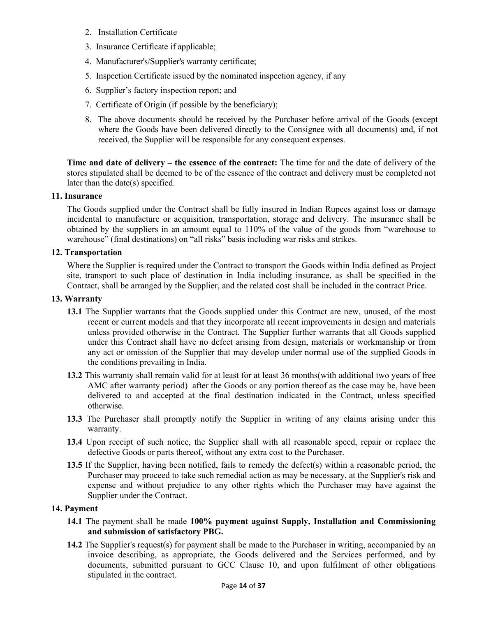- 2. Installation Certificate
- 3. Insurance Certificate if applicable;
- 4. Manufacturer's/Supplier's warranty certificate;
- 5. Inspection Certificate issued by the nominated inspection agency, if any
- 6. Supplier's factory inspection report; and
- 7. Certificate of Origin (if possible by the beneficiary);
- 8. The above documents should be received by the Purchaser before arrival of the Goods (except where the Goods have been delivered directly to the Consignee with all documents) and, if not received, the Supplier will be responsible for any consequent expenses.

**Time and date of delivery – the essence of the contract:** The time for and the date of delivery of the stores stipulated shall be deemed to be of the essence of the contract and delivery must be completed not later than the date(s) specified.

### **11. Insurance**

The Goods supplied under the Contract shall be fully insured in Indian Rupees against loss or damage incidental to manufacture or acquisition, transportation, storage and delivery. The insurance shall be obtained by the suppliers in an amount equal to 110% of the value of the goods from "warehouse to warehouse" (final destinations) on "all risks" basis including war risks and strikes.

### **12. Transportation**

Where the Supplier is required under the Contract to transport the Goods within India defined as Project site, transport to such place of destination in India including insurance, as shall be specified in the Contract, shall be arranged by the Supplier, and the related cost shall be included in the contract Price.

### **13. Warranty**

- **13.1** The Supplier warrants that the Goods supplied under this Contract are new, unused, of the most recent or current models and that they incorporate all recent improvements in design and materials unless provided otherwise in the Contract. The Supplier further warrants that all Goods supplied under this Contract shall have no defect arising from design, materials or workmanship or from any act or omission of the Supplier that may develop under normal use of the supplied Goods in the conditions prevailing in India.
- **13.2** This warranty shall remain valid for at least for at least 36 months(with additional two years of free AMC after warranty period) after the Goods or any portion thereof as the case may be, have been delivered to and accepted at the final destination indicated in the Contract, unless specified otherwise.
- **13.3** The Purchaser shall promptly notify the Supplier in writing of any claims arising under this warranty.
- **13.4** Upon receipt of such notice, the Supplier shall with all reasonable speed, repair or replace the defective Goods or parts thereof, without any extra cost to the Purchaser.
- **13.5** If the Supplier, having been notified, fails to remedy the defect(s) within a reasonable period, the Purchaser may proceed to take such remedial action as may be necessary, at the Supplier's risk and expense and without prejudice to any other rights which the Purchaser may have against the Supplier under the Contract.

### **14. Payment**

- **14.1** The payment shall be made **100% payment against Supply, Installation and Commissioning and submission of satisfactory PBG.**
- **14.2** The Supplier's request(s) for payment shall be made to the Purchaser in writing, accompanied by an invoice describing, as appropriate, the Goods delivered and the Services performed, and by documents, submitted pursuant to GCC Clause 10, and upon fulfilment of other obligations stipulated in the contract.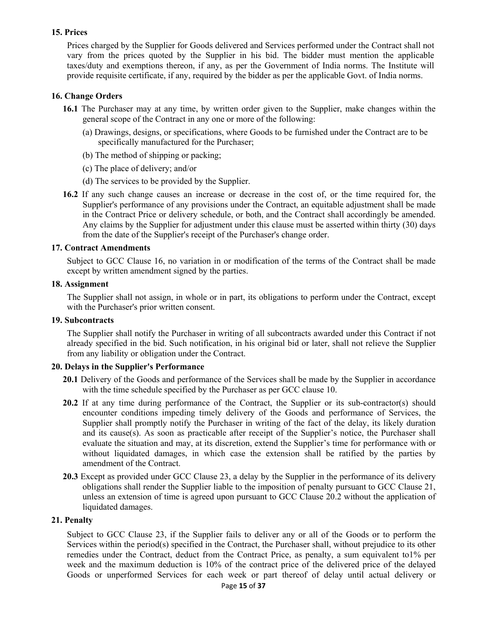### **15. Prices**

Prices charged by the Supplier for Goods delivered and Services performed under the Contract shall not vary from the prices quoted by the Supplier in his bid. The bidder must mention the applicable taxes/duty and exemptions thereon, if any, as per the Government of India norms. The Institute will provide requisite certificate, if any, required by the bidder as per the applicable Govt. of India norms.

### **16. Change Orders**

- **16.1** The Purchaser may at any time, by written order given to the Supplier, make changes within the general scope of the Contract in any one or more of the following:
	- (a) Drawings, designs, or specifications, where Goods to be furnished under the Contract are to be specifically manufactured for the Purchaser;
	- (b) The method of shipping or packing;
	- (c) The place of delivery; and/or
	- (d) The services to be provided by the Supplier.
- **16.2** If any such change causes an increase or decrease in the cost of, or the time required for, the Supplier's performance of any provisions under the Contract, an equitable adjustment shall be made in the Contract Price or delivery schedule, or both, and the Contract shall accordingly be amended. Any claims by the Supplier for adjustment under this clause must be asserted within thirty (30) days from the date of the Supplier's receipt of the Purchaser's change order.

### **17. Contract Amendments**

Subject to GCC Clause 16, no variation in or modification of the terms of the Contract shall be made except by written amendment signed by the parties.

### **18. Assignment**

The Supplier shall not assign, in whole or in part, its obligations to perform under the Contract, except with the Purchaser's prior written consent.

### **19. Subcontracts**

The Supplier shall notify the Purchaser in writing of all subcontracts awarded under this Contract if not already specified in the bid. Such notification, in his original bid or later, shall not relieve the Supplier from any liability or obligation under the Contract.

### **20. Delays in the Supplier's Performance**

- **20.1** Delivery of the Goods and performance of the Services shall be made by the Supplier in accordance with the time schedule specified by the Purchaser as per GCC clause 10.
- 20.2 If at any time during performance of the Contract, the Supplier or its sub-contractor(s) should encounter conditions impeding timely delivery of the Goods and performance of Services, the Supplier shall promptly notify the Purchaser in writing of the fact of the delay, its likely duration and its cause(s). As soon as practicable after receipt of the Supplier's notice, the Purchaser shall evaluate the situation and may, at its discretion, extend the Supplier's time for performance with or without liquidated damages, in which case the extension shall be ratified by the parties by amendment of the Contract.
- **20.3** Except as provided under GCC Clause 23, a delay by the Supplier in the performance of its delivery obligations shall render the Supplier liable to the imposition of penalty pursuant to GCC Clause 21, unless an extension of time is agreed upon pursuant to GCC Clause 20.2 without the application of liquidated damages.

### **21. Penalty**

Subject to GCC Clause 23, if the Supplier fails to deliver any or all of the Goods or to perform the Services within the period(s) specified in the Contract, the Purchaser shall, without prejudice to its other remedies under the Contract, deduct from the Contract Price, as penalty, a sum equivalent to1% per week and the maximum deduction is 10% of the contract price of the delivered price of the delayed Goods or unperformed Services for each week or part thereof of delay until actual delivery or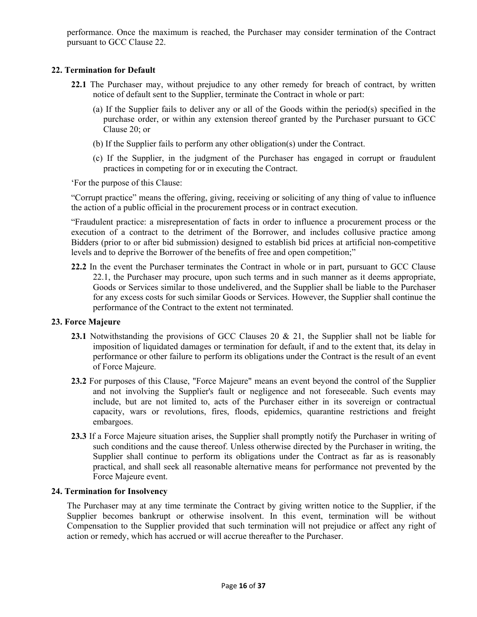performance. Once the maximum is reached, the Purchaser may consider termination of the Contract pursuant to GCC Clause 22.

### **22. Termination for Default**

- **22.1** The Purchaser may, without prejudice to any other remedy for breach of contract, by written notice of default sent to the Supplier, terminate the Contract in whole or part:
	- (a) If the Supplier fails to deliver any or all of the Goods within the period(s) specified in the purchase order, or within any extension thereof granted by the Purchaser pursuant to GCC Clause 20; or
	- (b) If the Supplier fails to perform any other obligation(s) under the Contract.
	- (c) If the Supplier, in the judgment of the Purchaser has engaged in corrupt or fraudulent practices in competing for or in executing the Contract.

'For the purpose of this Clause:

"Corrupt practice" means the offering, giving, receiving or soliciting of any thing of value to influence the action of a public official in the procurement process or in contract execution.

"Fraudulent practice: a misrepresentation of facts in order to influence a procurement process or the execution of a contract to the detriment of the Borrower, and includes collusive practice among Bidders (prior to or after bid submission) designed to establish bid prices at artificial non-competitive levels and to deprive the Borrower of the benefits of free and open competition;"

**22.2** In the event the Purchaser terminates the Contract in whole or in part, pursuant to GCC Clause 22.1, the Purchaser may procure, upon such terms and in such manner as it deems appropriate, Goods or Services similar to those undelivered, and the Supplier shall be liable to the Purchaser for any excess costs for such similar Goods or Services. However, the Supplier shall continue the performance of the Contract to the extent not terminated.

### **23. Force Majeure**

- **23.1** Notwithstanding the provisions of GCC Clauses 20 & 21, the Supplier shall not be liable for imposition of liquidated damages or termination for default, if and to the extent that, its delay in performance or other failure to perform its obligations under the Contract is the result of an event of Force Majeure.
- **23.2** For purposes of this Clause, "Force Majeure" means an event beyond the control of the Supplier and not involving the Supplier's fault or negligence and not foreseeable. Such events may include, but are not limited to, acts of the Purchaser either in its sovereign or contractual capacity, wars or revolutions, fires, floods, epidemics, quarantine restrictions and freight embargoes.
- **23.3** If a Force Majeure situation arises, the Supplier shall promptly notify the Purchaser in writing of such conditions and the cause thereof. Unless otherwise directed by the Purchaser in writing, the Supplier shall continue to perform its obligations under the Contract as far as is reasonably practical, and shall seek all reasonable alternative means for performance not prevented by the Force Majeure event.

### **24. Termination for Insolvency**

The Purchaser may at any time terminate the Contract by giving written notice to the Supplier, if the Supplier becomes bankrupt or otherwise insolvent. In this event, termination will be without Compensation to the Supplier provided that such termination will not prejudice or affect any right of action or remedy, which has accrued or will accrue thereafter to the Purchaser.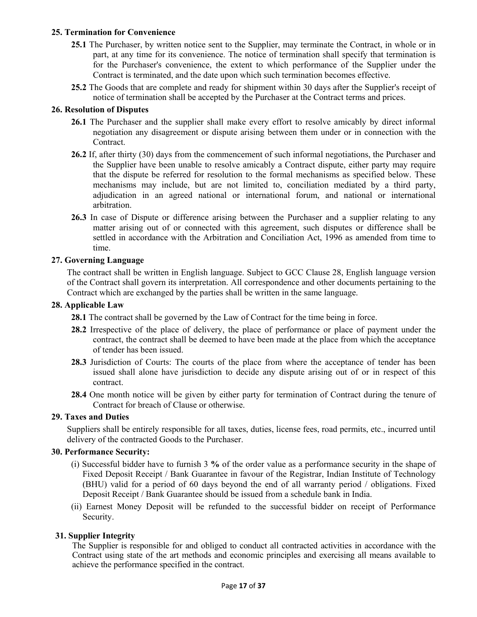### **25. Termination for Convenience**

- **25.1** The Purchaser, by written notice sent to the Supplier, may terminate the Contract, in whole or in part, at any time for its convenience. The notice of termination shall specify that termination is for the Purchaser's convenience, the extent to which performance of the Supplier under the Contract is terminated, and the date upon which such termination becomes effective.
- **25.2** The Goods that are complete and ready for shipment within 30 days after the Supplier's receipt of notice of termination shall be accepted by the Purchaser at the Contract terms and prices.

### **26. Resolution of Disputes**

- **26.1** The Purchaser and the supplier shall make every effort to resolve amicably by direct informal negotiation any disagreement or dispute arising between them under or in connection with the Contract.
- **26.2** If, after thirty (30) days from the commencement of such informal negotiations, the Purchaser and the Supplier have been unable to resolve amicably a Contract dispute, either party may require that the dispute be referred for resolution to the formal mechanisms as specified below. These mechanisms may include, but are not limited to, conciliation mediated by a third party, adjudication in an agreed national or international forum, and national or international arbitration.
- **26.3** In case of Dispute or difference arising between the Purchaser and a supplier relating to any matter arising out of or connected with this agreement, such disputes or difference shall be settled in accordance with the Arbitration and Conciliation Act, 1996 as amended from time to time.

### **27. Governing Language**

The contract shall be written in English language. Subject to GCC Clause 28, English language version of the Contract shall govern its interpretation. All correspondence and other documents pertaining to the Contract which are exchanged by the parties shall be written in the same language.

### **28. Applicable Law**

- **28.1** The contract shall be governed by the Law of Contract for the time being in force.
- **28.2** Irrespective of the place of delivery, the place of performance or place of payment under the contract, the contract shall be deemed to have been made at the place from which the acceptance of tender has been issued.
- **28.3** Jurisdiction of Courts: The courts of the place from where the acceptance of tender has been issued shall alone have jurisdiction to decide any dispute arising out of or in respect of this contract.
- **28.4** One month notice will be given by either party for termination of Contract during the tenure of Contract for breach of Clause or otherwise.

### **29. Taxes and Duties**

Suppliers shall be entirely responsible for all taxes, duties, license fees, road permits, etc., incurred until delivery of the contracted Goods to the Purchaser.

### **30. Performance Security:**

- (i) Successful bidder have to furnish 3 **%** of the order value as a performance security in the shape of Fixed Deposit Receipt / Bank Guarantee in favour of the Registrar, Indian Institute of Technology (BHU) valid for a period of 60 days beyond the end of all warranty period / obligations. Fixed Deposit Receipt / Bank Guarantee should be issued from a schedule bank in India.
- (ii) Earnest Money Deposit will be refunded to the successful bidder on receipt of Performance Security.

### **31. Supplier Integrity**

The Supplier is responsible for and obliged to conduct all contracted activities in accordance with the Contract using state of the art methods and economic principles and exercising all means available to achieve the performance specified in the contract.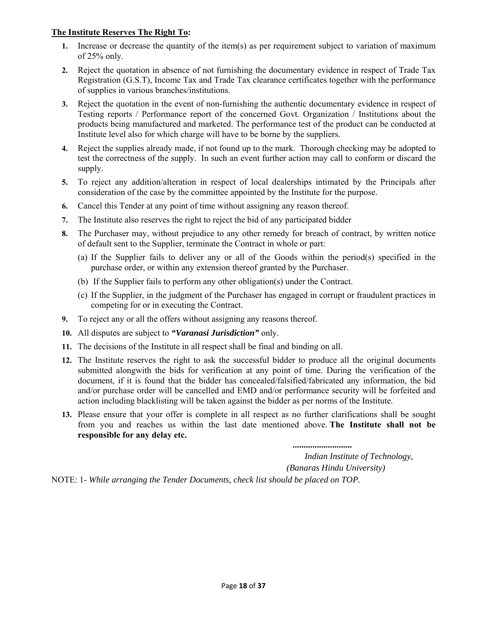### **The Institute Reserves The Right To:**

- **1.** Increase or decrease the quantity of the item(s) as per requirement subject to variation of maximum of 25% only.
- **2.** Reject the quotation in absence of not furnishing the documentary evidence in respect of Trade Tax Registration (G.S.T), Income Tax and Trade Tax clearance certificates together with the performance of supplies in various branches/institutions.
- **3.** Reject the quotation in the event of non-furnishing the authentic documentary evidence in respect of Testing reports / Performance report of the concerned Govt. Organization / Institutions about the products being manufactured and marketed. The performance test of the product can be conducted at Institute level also for which charge will have to be borne by the suppliers.
- **4.** Reject the supplies already made, if not found up to the mark. Thorough checking may be adopted to test the correctness of the supply. In such an event further action may call to conform or discard the supply.
- **5.** To reject any addition/alteration in respect of local dealerships intimated by the Principals after consideration of the case by the committee appointed by the Institute for the purpose.
- **6.** Cancel this Tender at any point of time without assigning any reason thereof.
- **7.** The Institute also reserves the right to reject the bid of any participated bidder
- **8.** The Purchaser may, without prejudice to any other remedy for breach of contract, by written notice of default sent to the Supplier, terminate the Contract in whole or part:
	- (a) If the Supplier fails to deliver any or all of the Goods within the period(s) specified in the purchase order, or within any extension thereof granted by the Purchaser.
	- (b) If the Supplier fails to perform any other obligation(s) under the Contract.
	- (c) If the Supplier, in the judgment of the Purchaser has engaged in corrupt or fraudulent practices in competing for or in executing the Contract.
- **9.** To reject any or all the offers without assigning any reasons thereof.
- **10.** All disputes are subject to *"Varanasi Jurisdiction"* only.
- **11.** The decisions of the Institute in all respect shall be final and binding on all.
- **12.** The Institute reserves the right to ask the successful bidder to produce all the original documents submitted alongwith the bids for verification at any point of time. During the verification of the document, if it is found that the bidder has concealed/falsified/fabricated any information, the bid and/or purchase order will be cancelled and EMD and/or performance security will be forfeited and action including blacklisting will be taken against the bidder as per norms of the Institute.
- **13.** Please ensure that your offer is complete in all respect as no further clarifications shall be sought from you and reaches us within the last date mentioned above. **The Institute shall not be responsible for any delay etc.**

 *...........................* 

 *Indian Institute of Technology,* 

 *(Banaras Hindu University)* 

NOTE: 1- *While arranging the Tender Documents, check list should be placed on TOP.*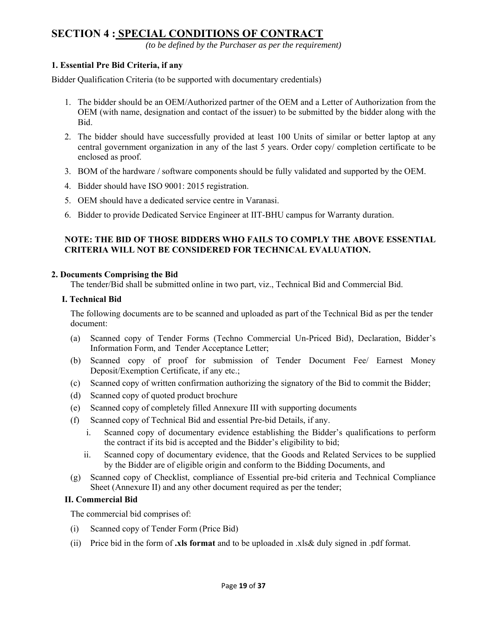# **SECTION 4 : SPECIAL CONDITIONS OF CONTRACT**

*(to be defined by the Purchaser as per the requirement)* 

### **1. Essential Pre Bid Criteria, if any**

Bidder Qualification Criteria (to be supported with documentary credentials)

- 1. The bidder should be an OEM/Authorized partner of the OEM and a Letter of Authorization from the OEM (with name, designation and contact of the issuer) to be submitted by the bidder along with the Bid.
- 2. The bidder should have successfully provided at least 100 Units of similar or better laptop at any central government organization in any of the last 5 years. Order copy/ completion certificate to be enclosed as proof.
- 3. BOM of the hardware / software components should be fully validated and supported by the OEM.
- 4. Bidder should have ISO 9001: 2015 registration.
- 5. OEM should have a dedicated service centre in Varanasi.
- 6. Bidder to provide Dedicated Service Engineer at IIT-BHU campus for Warranty duration.

### **NOTE: THE BID OF THOSE BIDDERS WHO FAILS TO COMPLY THE ABOVE ESSENTIAL CRITERIA WILL NOT BE CONSIDERED FOR TECHNICAL EVALUATION.**

### **2. Documents Comprising the Bid**

The tender/Bid shall be submitted online in two part, viz., Technical Bid and Commercial Bid.

### **I. Technical Bid**

The following documents are to be scanned and uploaded as part of the Technical Bid as per the tender document:

- (a) Scanned copy of Tender Forms (Techno Commercial Un-Priced Bid), Declaration, Bidder's Information Form, and Tender Acceptance Letter;
- (b) Scanned copy of proof for submission of Tender Document Fee/ Earnest Money Deposit/Exemption Certificate, if any etc.;
- (c) Scanned copy of written confirmation authorizing the signatory of the Bid to commit the Bidder;
- (d) Scanned copy of quoted product brochure
- (e) Scanned copy of completely filled Annexure III with supporting documents
- (f) Scanned copy of Technical Bid and essential Pre-bid Details, if any.
	- i. Scanned copy of documentary evidence establishing the Bidder's qualifications to perform the contract if its bid is accepted and the Bidder's eligibility to bid;
	- ii. Scanned copy of documentary evidence, that the Goods and Related Services to be supplied by the Bidder are of eligible origin and conform to the Bidding Documents, and
- (g) Scanned copy of Checklist, compliance of Essential pre-bid criteria and Technical Compliance Sheet (Annexure II) and any other document required as per the tender;

### **II. Commercial Bid**

The commercial bid comprises of:

- (i) Scanned copy of Tender Form (Price Bid)
- (ii) Price bid in the form of **.xls format** and to be uploaded in .xls& duly signed in .pdf format.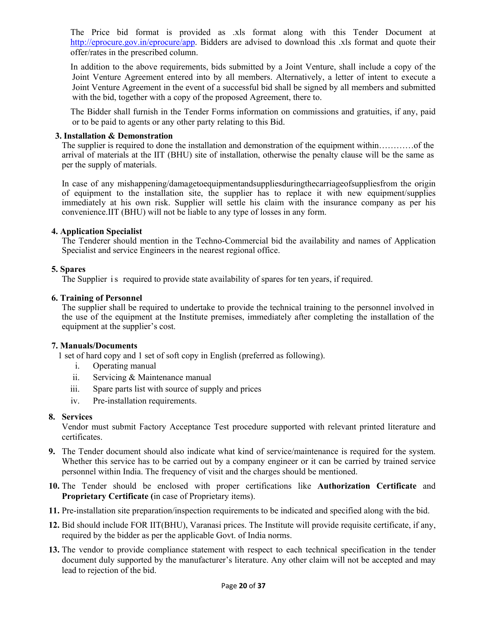The Price bid format is provided as .xls format along with this Tender Document at http://eprocure.gov.in/eprocure/app. Bidders are advised to download this .xls format and quote their offer/rates in the prescribed column.

In addition to the above requirements, bids submitted by a Joint Venture, shall include a copy of the Joint Venture Agreement entered into by all members. Alternatively, a letter of intent to execute a Joint Venture Agreement in the event of a successful bid shall be signed by all members and submitted with the bid, together with a copy of the proposed Agreement, there to.

The Bidder shall furnish in the Tender Forms information on commissions and gratuities, if any, paid or to be paid to agents or any other party relating to this Bid.

### **3. Installation & Demonstration**

The supplier is required to done the installation and demonstration of the equipment within…………of the arrival of materials at the IIT (BHU) site of installation, otherwise the penalty clause will be the same as per the supply of materials.

In case of any mishappening/damagetoequipmentandsuppliesduringthecarriageofsuppliesfrom the origin of equipment to the installation site, the supplier has to replace it with new equipment/supplies immediately at his own risk. Supplier will settle his claim with the insurance company as per his convenience.IIT (BHU) will not be liable to any type of losses in any form.

### **4. Application Specialist**

The Tenderer should mention in the Techno-Commercial bid the availability and names of Application Specialist and service Engineers in the nearest regional office.

### **5. Spares**

The Supplier is required to provide state availability of spares for ten years, if required.

### **6. Training of Personnel**

The supplier shall be required to undertake to provide the technical training to the personnel involved in the use of the equipment at the Institute premises, immediately after completing the installation of the equipment at the supplier's cost.

### **7. Manuals/Documents**

1 set of hard copy and 1 set of soft copy in English (preferred as following).

- i. Operating manual
- ii. Servicing & Maintenance manual
- iii. Spare parts list with source of supply and prices
- iv. Pre-installation requirements.

### **8. Services**

Vendor must submit Factory Acceptance Test procedure supported with relevant printed literature and certificates.

- **9.** The Tender document should also indicate what kind of service/maintenance is required for the system. Whether this service has to be carried out by a company engineer or it can be carried by trained service personnel within India. The frequency of visit and the charges should be mentioned.
- **10.** The Tender should be enclosed with proper certifications like **Authorization Certificate** and **Proprietary Certificate (**in case of Proprietary items).
- **11.** Pre-installation site preparation/inspection requirements to be indicated and specified along with the bid.
- **12.** Bid should include FOR IIT(BHU), Varanasi prices. The Institute will provide requisite certificate, if any, required by the bidder as per the applicable Govt. of India norms.
- **13.** The vendor to provide compliance statement with respect to each technical specification in the tender document duly supported by the manufacturer's literature. Any other claim will not be accepted and may lead to rejection of the bid.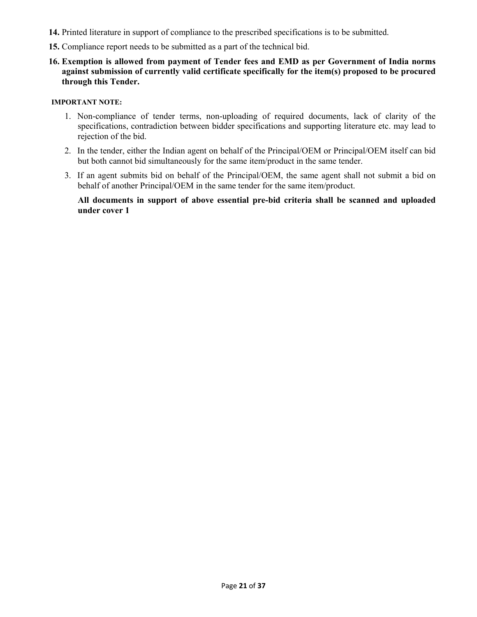- **14.** Printed literature in support of compliance to the prescribed specifications is to be submitted.
- **15.** Compliance report needs to be submitted as a part of the technical bid.
- **16. Exemption is allowed from payment of Tender fees and EMD as per Government of India norms against submission of currently valid certificate specifically for the item(s) proposed to be procured through this Tender.**

### **IMPORTANT NOTE:**

- 1. Non-compliance of tender terms, non-uploading of required documents, lack of clarity of the specifications, contradiction between bidder specifications and supporting literature etc. may lead to rejection of the bid.
- 2. In the tender, either the Indian agent on behalf of the Principal/OEM or Principal/OEM itself can bid but both cannot bid simultaneously for the same item/product in the same tender.
- 3. If an agent submits bid on behalf of the Principal/OEM, the same agent shall not submit a bid on behalf of another Principal/OEM in the same tender for the same item/product.

**All documents in support of above essential pre-bid criteria shall be scanned and uploaded under cover 1**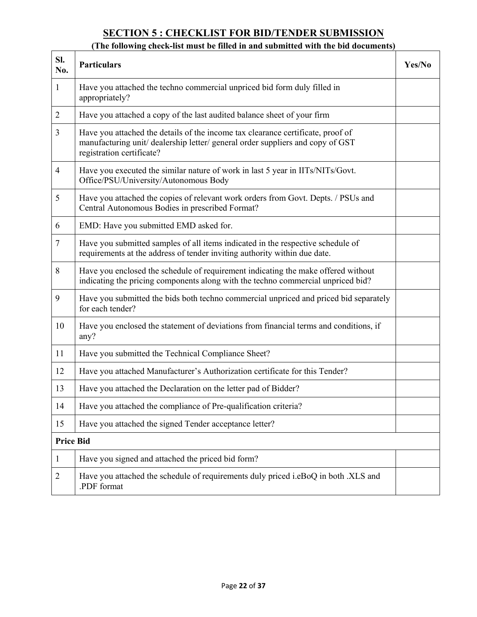# **SECTION 5 : CHECKLIST FOR BID/TENDER SUBMISSION**

# **(The following check-list must be filled in and submitted with the bid documents)**

| Sl.<br>No.       | <b>Particulars</b>                                                                                                                                                                             | Yes/No |
|------------------|------------------------------------------------------------------------------------------------------------------------------------------------------------------------------------------------|--------|
| $\mathbf{1}$     | Have you attached the techno commercial unpriced bid form duly filled in<br>appropriately?                                                                                                     |        |
| $\overline{2}$   | Have you attached a copy of the last audited balance sheet of your firm                                                                                                                        |        |
| 3                | Have you attached the details of the income tax clearance certificate, proof of<br>manufacturing unit/ dealership letter/ general order suppliers and copy of GST<br>registration certificate? |        |
| $\overline{4}$   | Have you executed the similar nature of work in last 5 year in IITs/NITs/Govt.<br>Office/PSU/University/Autonomous Body                                                                        |        |
| 5                | Have you attached the copies of relevant work orders from Govt. Depts. / PSUs and<br>Central Autonomous Bodies in prescribed Format?                                                           |        |
| 6                | EMD: Have you submitted EMD asked for.                                                                                                                                                         |        |
| $\overline{7}$   | Have you submitted samples of all items indicated in the respective schedule of<br>requirements at the address of tender inviting authority within due date.                                   |        |
| 8                | Have you enclosed the schedule of requirement indicating the make offered without<br>indicating the pricing components along with the techno commercial unpriced bid?                          |        |
| 9                | Have you submitted the bids both techno commercial unpriced and priced bid separately<br>for each tender?                                                                                      |        |
| 10               | Have you enclosed the statement of deviations from financial terms and conditions, if<br>any?                                                                                                  |        |
| 11               | Have you submitted the Technical Compliance Sheet?                                                                                                                                             |        |
| 12               | Have you attached Manufacturer's Authorization certificate for this Tender?                                                                                                                    |        |
| 13               | Have you attached the Declaration on the letter pad of Bidder?                                                                                                                                 |        |
| 14               | Have you attached the compliance of Pre-qualification criteria?                                                                                                                                |        |
| 15               | Have you attached the signed Tender acceptance letter?                                                                                                                                         |        |
| <b>Price Bid</b> |                                                                                                                                                                                                |        |
| $\mathbf{1}$     | Have you signed and attached the priced bid form?                                                                                                                                              |        |
| $\overline{2}$   | Have you attached the schedule of requirements duly priced i.eBoQ in both .XLS and<br>PDF format                                                                                               |        |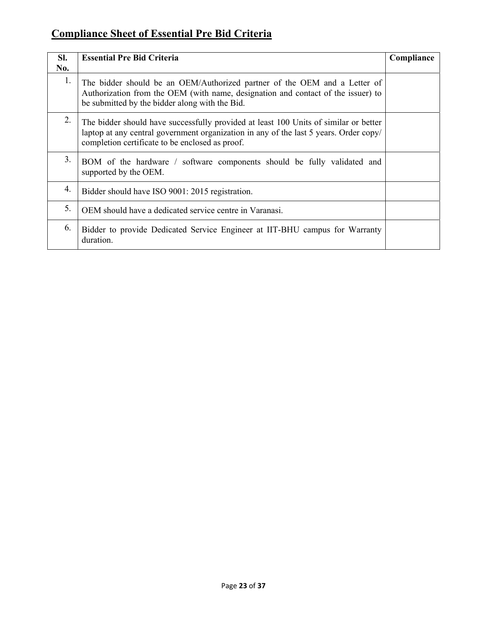# **Compliance Sheet of Essential Pre Bid Criteria**

| SI. | <b>Essential Pre Bid Criteria</b>                                                                                                                                                                                                | Compliance |
|-----|----------------------------------------------------------------------------------------------------------------------------------------------------------------------------------------------------------------------------------|------------|
| No. |                                                                                                                                                                                                                                  |            |
| 1.  | The bidder should be an OEM/Authorized partner of the OEM and a Letter of<br>Authorization from the OEM (with name, designation and contact of the issuer) to<br>be submitted by the bidder along with the Bid.                  |            |
| 2.  | The bidder should have successfully provided at least 100 Units of similar or better<br>laptop at any central government organization in any of the last 5 years. Order copy/<br>completion certificate to be enclosed as proof. |            |
| 3.  | BOM of the hardware / software components should be fully validated and<br>supported by the OEM.                                                                                                                                 |            |
| 4.  | Bidder should have ISO 9001: 2015 registration.                                                                                                                                                                                  |            |
| 5.  | OEM should have a dedicated service centre in Varanasi.                                                                                                                                                                          |            |
| 6.  | Bidder to provide Dedicated Service Engineer at IIT-BHU campus for Warranty<br>duration.                                                                                                                                         |            |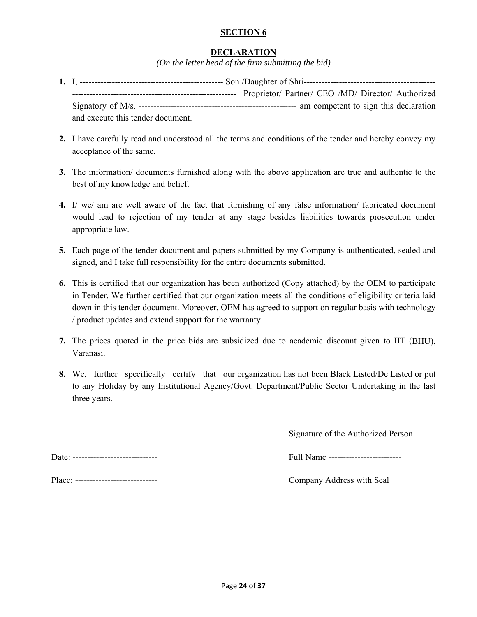### **SECTION 6**

### **DECLARATION**

*(On the letter head of the firm submitting the bid)*

- **1.** I, ------------------------------------------------- Son /Daughter of Shri--------------------------------------------- -------------------------------------------------------- Proprietor/ Partner/ CEO /MD/ Director/ Authorized Signatory of M/s. ------------------------------------------------------ am competent to sign this declaration and execute this tender document.
- **2.** I have carefully read and understood all the terms and conditions of the tender and hereby convey my acceptance of the same.
- **3.** The information/ documents furnished along with the above application are true and authentic to the best of my knowledge and belief.
- **4.** I/ we/ am are well aware of the fact that furnishing of any false information/ fabricated document would lead to rejection of my tender at any stage besides liabilities towards prosecution under appropriate law.
- **5.** Each page of the tender document and papers submitted by my Company is authenticated, sealed and signed, and I take full responsibility for the entire documents submitted.
- **6.** This is certified that our organization has been authorized (Copy attached) by the OEM to participate in Tender. We further certified that our organization meets all the conditions of eligibility criteria laid down in this tender document. Moreover, OEM has agreed to support on regular basis with technology / product updates and extend support for the warranty.
- **7.** The prices quoted in the price bids are subsidized due to academic discount given to IIT (BHU), Varanasi.
- **8.** We, further specifically certify that our organization has not been Black Listed/De Listed or put to any Holiday by any Institutional Agency/Govt. Department/Public Sector Undertaking in the last three years.

--------------------------------------------- Signature of the Authorized Person

Date: ----------------------------- Full Name -------------------------

Place: ---------------------------- Company Address with Seal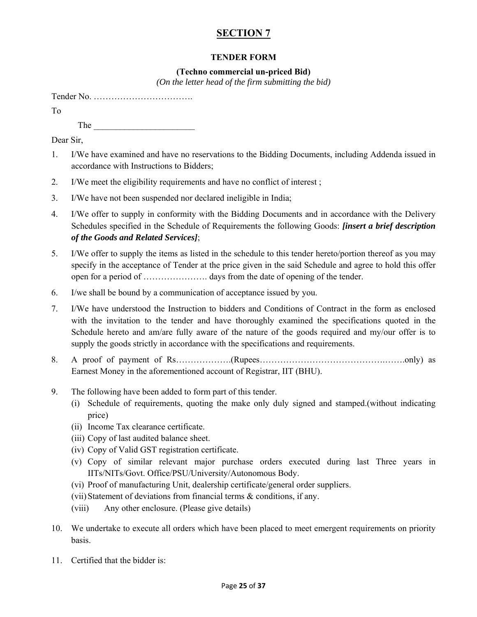# **SECTION 7**

### **TENDER FORM**

### **(Techno commercial un-priced Bid)**

*(On the letter head of the firm submitting the bid)* 

| To  |                                                                                                                                                                                                                                                                                                                                                                                                                                                                                                                                                                                                                                                                                                       |
|-----|-------------------------------------------------------------------------------------------------------------------------------------------------------------------------------------------------------------------------------------------------------------------------------------------------------------------------------------------------------------------------------------------------------------------------------------------------------------------------------------------------------------------------------------------------------------------------------------------------------------------------------------------------------------------------------------------------------|
|     | $The _______$                                                                                                                                                                                                                                                                                                                                                                                                                                                                                                                                                                                                                                                                                         |
|     | Dear Sir,                                                                                                                                                                                                                                                                                                                                                                                                                                                                                                                                                                                                                                                                                             |
| 1.  | I/We have examined and have no reservations to the Bidding Documents, including Addenda issued in<br>accordance with Instructions to Bidders;                                                                                                                                                                                                                                                                                                                                                                                                                                                                                                                                                         |
| 2.  | I/We meet the eligibility requirements and have no conflict of interest;                                                                                                                                                                                                                                                                                                                                                                                                                                                                                                                                                                                                                              |
| 3.  | I/We have not been suspended nor declared ineligible in India;                                                                                                                                                                                                                                                                                                                                                                                                                                                                                                                                                                                                                                        |
| 4.  | I/We offer to supply in conformity with the Bidding Documents and in accordance with the Delivery<br>Schedules specified in the Schedule of Requirements the following Goods: <i>[insert a brief description</i><br>of the Goods and Related Services];                                                                                                                                                                                                                                                                                                                                                                                                                                               |
| 5.  | I/We offer to supply the items as listed in the schedule to this tender hereto/portion thereof as you may<br>specify in the acceptance of Tender at the price given in the said Schedule and agree to hold this offer                                                                                                                                                                                                                                                                                                                                                                                                                                                                                 |
| 6.  | I/we shall be bound by a communication of acceptance issued by you.                                                                                                                                                                                                                                                                                                                                                                                                                                                                                                                                                                                                                                   |
| 7.  | I/We have understood the Instruction to bidders and Conditions of Contract in the form as enclosed<br>with the invitation to the tender and have thoroughly examined the specifications quoted in the<br>Schedule hereto and am/are fully aware of the nature of the goods required and my/our offer is to<br>supply the goods strictly in accordance with the specifications and requirements.                                                                                                                                                                                                                                                                                                       |
| 8.  | Earnest Money in the aforementioned account of Registrar, IIT (BHU).                                                                                                                                                                                                                                                                                                                                                                                                                                                                                                                                                                                                                                  |
| 9.  | The following have been added to form part of this tender.<br>Schedule of requirements, quoting the make only duly signed and stamped.(without indicating<br>(i)<br>price)<br>(ii) Income Tax clearance certificate.<br>(iii) Copy of last audited balance sheet.<br>(iv) Copy of Valid GST registration certificate.<br>(v) Copy of similar relevant major purchase orders executed during last Three years in<br>IITs/NITs/Govt. Office/PSU/University/Autonomous Body.<br>(vi) Proof of manufacturing Unit, dealership certificate/general order suppliers.<br>(vii) Statement of deviations from financial terms $\&$ conditions, if any.<br>Any other enclosure. (Please give details)<br>(viii) |
| 10. | We undertake to execute all orders which have been placed to meet emergent requirements on priority<br>basis.                                                                                                                                                                                                                                                                                                                                                                                                                                                                                                                                                                                         |

11. Certified that the bidder is: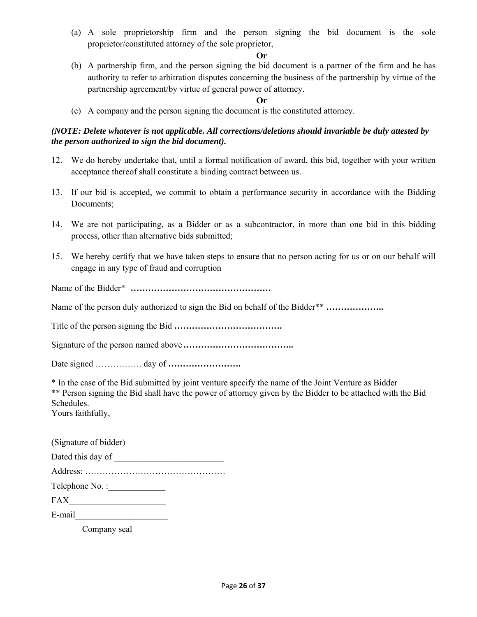(a) A sole proprietorship firm and the person signing the bid document is the sole proprietor/constituted attorney of the sole proprietor,

### **Or**

(b) A partnership firm, and the person signing the bid document is a partner of the firm and he has authority to refer to arbitration disputes concerning the business of the partnership by virtue of the partnership agreement/by virtue of general power of attorney.

### **Or**

(c) A company and the person signing the document is the constituted attorney.

### *(NOTE: Delete whatever is not applicable. All corrections/deletions should invariable be duly attested by the person authorized to sign the bid document).*

- 12. We do hereby undertake that, until a formal notification of award, this bid, together with your written acceptance thereof shall constitute a binding contract between us.
- 13. If our bid is accepted, we commit to obtain a performance security in accordance with the Bidding Documents;
- 14. We are not participating, as a Bidder or as a subcontractor, in more than one bid in this bidding process, other than alternative bids submitted;
- 15. We hereby certify that we have taken steps to ensure that no person acting for us or on our behalf will engage in any type of fraud and corruption

Name of the Bidder\* **…………………………………………**

Name of the person duly authorized to sign the Bid on behalf of the Bidder\*\* **………………..**

Title of the person signing the Bid **……………………………….**

Signature of the person named above **………………………………..**

Date signed ……………. day of **…………………….**

\* In the case of the Bid submitted by joint venture specify the name of the Joint Venture as Bidder \*\* Person signing the Bid shall have the power of attorney given by the Bidder to be attached with the Bid Schedules.

Yours faithfully,

| (Signature of bidder) |  |
|-----------------------|--|
| Dated this day of     |  |
|                       |  |
| Telephone No.:        |  |
| <b>FAX</b>            |  |
| E-mail                |  |

Company seal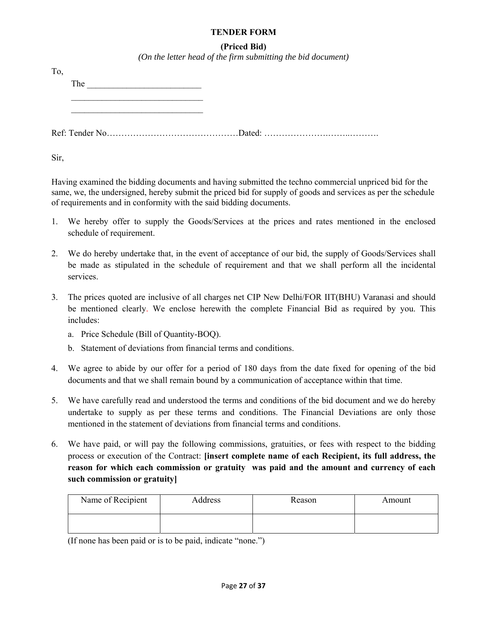### **TENDER FORM**

### **(Priced Bid)**

*(On the letter head of the firm submitting the bid document)* 

| T <sub>o</sub> |     |  |
|----------------|-----|--|
|                | The |  |
|                |     |  |
|                |     |  |
|                |     |  |
|                |     |  |

Sir,

Having examined the bidding documents and having submitted the techno commercial unpriced bid for the same, we, the undersigned, hereby submit the priced bid for supply of goods and services as per the schedule of requirements and in conformity with the said bidding documents.

- 1. We hereby offer to supply the Goods/Services at the prices and rates mentioned in the enclosed schedule of requirement.
- 2. We do hereby undertake that, in the event of acceptance of our bid, the supply of Goods/Services shall be made as stipulated in the schedule of requirement and that we shall perform all the incidental services.
- 3. The prices quoted are inclusive of all charges net CIP New Delhi/FOR IIT(BHU) Varanasi and should be mentioned clearly. We enclose herewith the complete Financial Bid as required by you. This includes:
	- a. Price Schedule (Bill of Quantity-BOQ).
	- b. Statement of deviations from financial terms and conditions.
- 4. We agree to abide by our offer for a period of 180 days from the date fixed for opening of the bid documents and that we shall remain bound by a communication of acceptance within that time.
- 5. We have carefully read and understood the terms and conditions of the bid document and we do hereby undertake to supply as per these terms and conditions. The Financial Deviations are only those mentioned in the statement of deviations from financial terms and conditions.
- 6. We have paid, or will pay the following commissions, gratuities, or fees with respect to the bidding process or execution of the Contract: **[insert complete name of each Recipient, its full address, the reason for which each commission or gratuity was paid and the amount and currency of each such commission or gratuity]**

| Name of Recipient | Address | Reason | Amount |
|-------------------|---------|--------|--------|
|                   |         |        |        |

(If none has been paid or is to be paid, indicate "none.")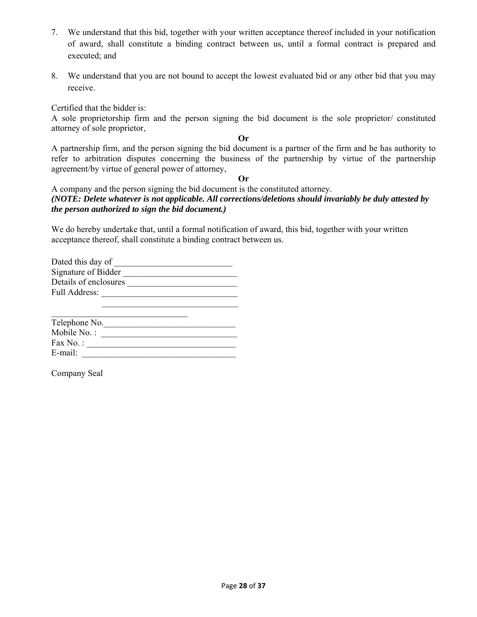- 7. We understand that this bid, together with your written acceptance thereof included in your notification of award, shall constitute a binding contract between us, until a formal contract is prepared and executed; and
- 8. We understand that you are not bound to accept the lowest evaluated bid or any other bid that you may receive.

Certified that the bidder is:

A sole proprietorship firm and the person signing the bid document is the sole proprietor/ constituted attorney of sole proprietor,

**Or** 

A partnership firm, and the person signing the bid document is a partner of the firm and he has authority to refer to arbitration disputes concerning the business of the partnership by virtue of the partnership agreement/by virtue of general power of attorney,

**Or** 

A company and the person signing the bid document is the constituted attorney. *(NOTE: Delete whatever is not applicable. All corrections/deletions should invariably be duly attested by the person authorized to sign the bid document.)* 

We do hereby undertake that, until a formal notification of award, this bid, together with your written acceptance thereof, shall constitute a binding contract between us.

| Dated this day of     |  |
|-----------------------|--|
| Signature of Bidder   |  |
| Details of enclosures |  |
| <b>Full Address:</b>  |  |
|                       |  |
|                       |  |

| Telephone No. |  |
|---------------|--|
| Mobile No. :  |  |
| Fax No.:      |  |
| E-mail:       |  |

Company Seal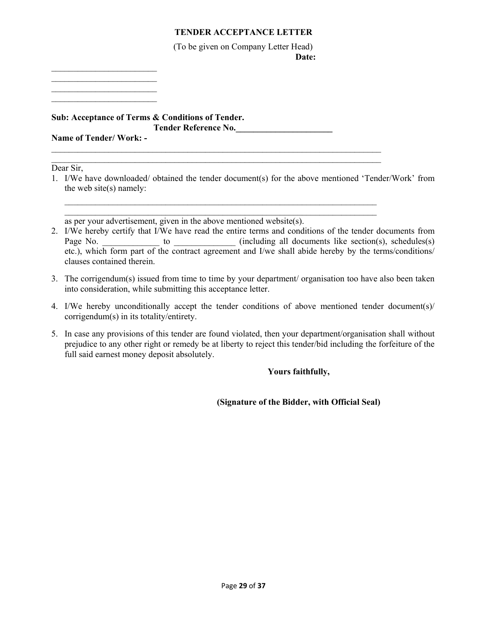### **TENDER ACCEPTANCE LETTER**

(To be given on Company Letter Head) **Date: Date:** 

 $\mathcal{L}_\text{max}$  $\mathcal{L}_\text{max}$  , where  $\mathcal{L}_\text{max}$ 

 $\mathcal{L}_\text{max}$  , where  $\mathcal{L}_\text{max}$ 

**Sub: Acceptance of Terms & Conditions of Tender. Tender Reference No.\_\_\_\_\_\_\_\_\_\_\_\_\_\_\_\_\_\_\_\_\_\_** 

**Name of Tender/ Work: -**   $\mathcal{L}_\text{max} = \mathcal{L}_\text{max} = \mathcal{L}_\text{max} = \mathcal{L}_\text{max} = \mathcal{L}_\text{max} = \mathcal{L}_\text{max} = \mathcal{L}_\text{max} = \mathcal{L}_\text{max} = \mathcal{L}_\text{max} = \mathcal{L}_\text{max} = \mathcal{L}_\text{max} = \mathcal{L}_\text{max} = \mathcal{L}_\text{max} = \mathcal{L}_\text{max} = \mathcal{L}_\text{max} = \mathcal{L}_\text{max} = \mathcal{L}_\text{max} = \mathcal{L}_\text{max} = \mathcal{$ 

Dear Sir,

1. I/We have downloaded/ obtained the tender document(s) for the above mentioned 'Tender/Work' from the web site(s) namely:

 $\mathcal{L}_\text{max} = \mathcal{L}_\text{max} = \mathcal{L}_\text{max} = \mathcal{L}_\text{max} = \mathcal{L}_\text{max} = \mathcal{L}_\text{max} = \mathcal{L}_\text{max} = \mathcal{L}_\text{max} = \mathcal{L}_\text{max} = \mathcal{L}_\text{max} = \mathcal{L}_\text{max} = \mathcal{L}_\text{max} = \mathcal{L}_\text{max} = \mathcal{L}_\text{max} = \mathcal{L}_\text{max} = \mathcal{L}_\text{max} = \mathcal{L}_\text{max} = \mathcal{L}_\text{max} = \mathcal{$  $\mathcal{L}_\text{max} = \mathcal{L}_\text{max} = \mathcal{L}_\text{max} = \mathcal{L}_\text{max} = \mathcal{L}_\text{max} = \mathcal{L}_\text{max} = \mathcal{L}_\text{max} = \mathcal{L}_\text{max} = \mathcal{L}_\text{max} = \mathcal{L}_\text{max} = \mathcal{L}_\text{max} = \mathcal{L}_\text{max} = \mathcal{L}_\text{max} = \mathcal{L}_\text{max} = \mathcal{L}_\text{max} = \mathcal{L}_\text{max} = \mathcal{L}_\text{max} = \mathcal{L}_\text{max} = \mathcal{$ 

 $\mathcal{L}_\text{max}$ 

as per your advertisement, given in the above mentioned website(s).

- 2. I/We hereby certify that I/We have read the entire terms and conditions of the tender documents from Page No. \_\_\_\_\_\_\_\_\_\_\_\_\_\_ to \_\_\_\_\_\_\_\_\_\_\_\_\_ (including all documents like section(s), schedules(s) etc.), which form part of the contract agreement and I/we shall abide hereby by the terms/conditions/ clauses contained therein.
- 3. The corrigendum(s) issued from time to time by your department/ organisation too have also been taken into consideration, while submitting this acceptance letter.
- 4. I/We hereby unconditionally accept the tender conditions of above mentioned tender document(s)/ corrigendum(s) in its totality/entirety.
- 5. In case any provisions of this tender are found violated, then your department/organisation shall without prejudice to any other right or remedy be at liberty to reject this tender/bid including the forfeiture of the full said earnest money deposit absolutely.

### **Yours faithfully,**

 **(Signature of the Bidder, with Official Seal)**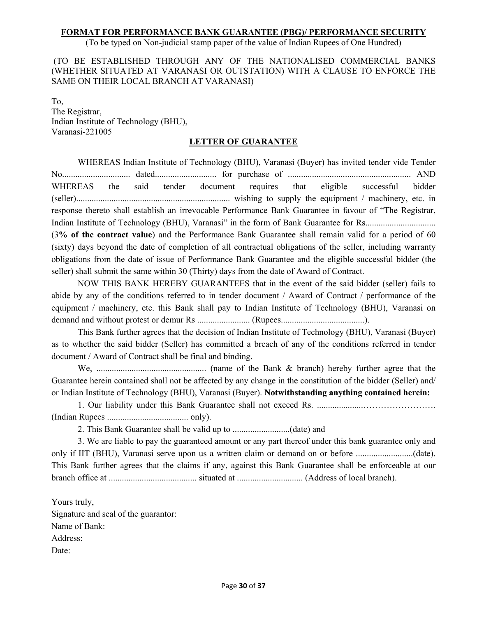### **FORMAT FOR PERFORMANCE BANK GUARANTEE (PBG)/ PERFORMANCE SECURITY**

(To be typed on Non-judicial stamp paper of the value of Indian Rupees of One Hundred)

 (TO BE ESTABLISHED THROUGH ANY OF THE NATIONALISED COMMERCIAL BANKS (WHETHER SITUATED AT VARANASI OR OUTSTATION) WITH A CLAUSE TO ENFORCE THE SAME ON THEIR LOCAL BRANCH AT VARANASI)

To, The Registrar, Indian Institute of Technology (BHU), Varanasi-221005

### **LETTER OF GUARANTEE**

WHEREAS Indian Institute of Technology (BHU), Varanasi (Buyer) has invited tender vide Tender No............................... dated............................ for purchase of ........................................................ AND WHEREAS the said tender document requires that eligible successful bidder (seller)...................................................................... wishing to supply the equipment / machinery, etc. in response thereto shall establish an irrevocable Performance Bank Guarantee in favour of "The Registrar, Indian Institute of Technology (BHU), Varanasi" in the form of Bank Guarantee for Rs................................ (3**% of the contract value**) and the Performance Bank Guarantee shall remain valid for a period of 60 (sixty) days beyond the date of completion of all contractual obligations of the seller, including warranty obligations from the date of issue of Performance Bank Guarantee and the eligible successful bidder (the seller) shall submit the same within 30 (Thirty) days from the date of Award of Contract.

NOW THIS BANK HEREBY GUARANTEES that in the event of the said bidder (seller) fails to abide by any of the conditions referred to in tender document / Award of Contract / performance of the equipment / machinery, etc. this Bank shall pay to Indian Institute of Technology (BHU), Varanasi on demand and without protest or demur Rs ........................ (Rupees......................................).

This Bank further agrees that the decision of Indian Institute of Technology (BHU), Varanasi (Buyer) as to whether the said bidder (Seller) has committed a breach of any of the conditions referred in tender document / Award of Contract shall be final and binding.

We, .................................................. (name of the Bank & branch) hereby further agree that the Guarantee herein contained shall not be affected by any change in the constitution of the bidder (Seller) and/ or Indian Institute of Technology (BHU), Varanasi (Buyer). **Notwithstanding anything contained herein:**

1. Our liability under this Bank Guarantee shall not exceed Rs. .....................……………………. (Indian Rupees ..................................... only).

2. This Bank Guarantee shall be valid up to ..........................(date) and

3. We are liable to pay the guaranteed amount or any part thereof under this bank guarantee only and only if IIT (BHU), Varanasi serve upon us a written claim or demand on or before ..........................(date). This Bank further agrees that the claims if any, against this Bank Guarantee shall be enforceable at our branch office at ........................................ situated at .............................. (Address of local branch).

Yours truly, Signature and seal of the guarantor: Name of Bank: Address: Date: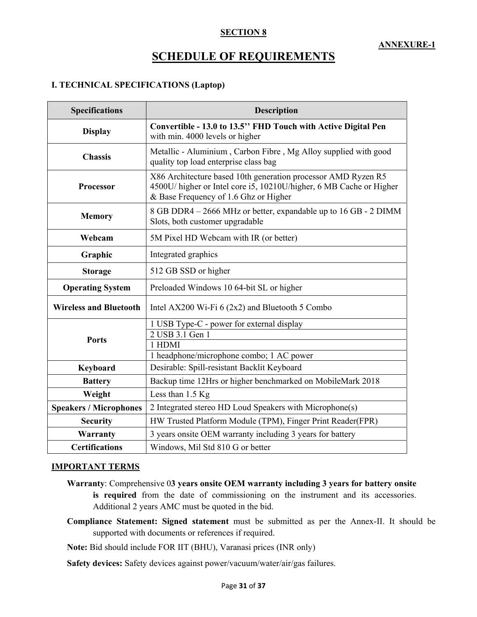### **SECTION 8**

# **SCHEDULE OF REQUIREMENTS**

### **I. TECHNICAL SPECIFICATIONS (Laptop)**

| <b>Specifications</b>                                                                                               | <b>Description</b>                                                                                                                                                            |  |
|---------------------------------------------------------------------------------------------------------------------|-------------------------------------------------------------------------------------------------------------------------------------------------------------------------------|--|
| <b>Display</b>                                                                                                      | Convertible - 13.0 to 13.5" FHD Touch with Active Digital Pen<br>with min. 4000 levels or higher                                                                              |  |
| <b>Chassis</b>                                                                                                      | Metallic - Aluminium, Carbon Fibre, Mg Alloy supplied with good<br>quality top load enterprise class bag                                                                      |  |
| Processor                                                                                                           | X86 Architecture based 10th generation processor AMD Ryzen R5<br>4500U/ higher or Intel core i5, 10210U/higher, 6 MB Cache or Higher<br>& Base Frequency of 1.6 Ghz or Higher |  |
| 8 GB DDR4 – 2666 MHz or better, expandable up to 16 GB - 2 DIMM<br><b>Memory</b><br>Slots, both customer upgradable |                                                                                                                                                                               |  |
| Webcam                                                                                                              | 5M Pixel HD Webcam with IR (or better)                                                                                                                                        |  |
| Graphic                                                                                                             | Integrated graphics                                                                                                                                                           |  |
| <b>Storage</b>                                                                                                      | 512 GB SSD or higher                                                                                                                                                          |  |
| <b>Operating System</b>                                                                                             | Preloaded Windows 10 64-bit SL or higher                                                                                                                                      |  |
| <b>Wireless and Bluetooth</b>                                                                                       | Intel AX200 Wi-Fi $6(2x2)$ and Bluetooth 5 Combo                                                                                                                              |  |
|                                                                                                                     | 1 USB Type-C - power for external display                                                                                                                                     |  |
| <b>Ports</b>                                                                                                        | 2 USB 3.1 Gen 1<br>1 HDMI                                                                                                                                                     |  |
|                                                                                                                     | 1 headphone/microphone combo; 1 AC power                                                                                                                                      |  |
| Keyboard                                                                                                            | Desirable: Spill-resistant Backlit Keyboard                                                                                                                                   |  |
| <b>Battery</b>                                                                                                      | Backup time 12Hrs or higher benchmarked on MobileMark 2018                                                                                                                    |  |
| Weight                                                                                                              | Less than $1.5$ Kg                                                                                                                                                            |  |
| <b>Speakers / Microphones</b>                                                                                       | 2 Integrated stereo HD Loud Speakers with Microphone(s)                                                                                                                       |  |
| <b>Security</b>                                                                                                     | HW Trusted Platform Module (TPM), Finger Print Reader(FPR)                                                                                                                    |  |
| Warranty                                                                                                            | 3 years onsite OEM warranty including 3 years for battery                                                                                                                     |  |
| <b>Certifications</b><br>Windows, Mil Std 810 G or better                                                           |                                                                                                                                                                               |  |

### **IMPORTANT TERMS**

- **Warranty**: Comprehensive 0**3 years onsite OEM warranty including 3 years for battery onsite is required** from the date of commissioning on the instrument and its accessories. Additional 2 years AMC must be quoted in the bid.
- **Compliance Statement: Signed statement** must be submitted as per the Annex-II. It should be supported with documents or references if required.

**Note:** Bid should include FOR IIT (BHU), Varanasi prices (INR only)

**Safety devices:** Safety devices against power/vacuum/water/air/gas failures.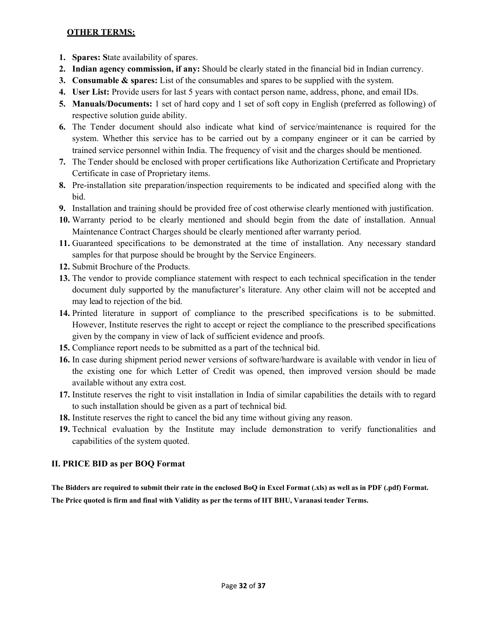### **OTHER TERMS:**

- **1. Spares: S**tate availability of spares.
- **2. Indian agency commission, if any:** Should be clearly stated in the financial bid in Indian currency.
- **3. Consumable & spares:** List of the consumables and spares to be supplied with the system.
- **4. User List:** Provide users for last 5 years with contact person name, address, phone, and email IDs.
- **5. Manuals/Documents:** 1 set of hard copy and 1 set of soft copy in English (preferred as following) of respective solution guide ability.
- **6.** The Tender document should also indicate what kind of service/maintenance is required for the system. Whether this service has to be carried out by a company engineer or it can be carried by trained service personnel within India. The frequency of visit and the charges should be mentioned.
- **7.** The Tender should be enclosed with proper certifications like Authorization Certificate and Proprietary Certificate in case of Proprietary items.
- **8.** Pre-installation site preparation/inspection requirements to be indicated and specified along with the bid.
- **9.** Installation and training should be provided free of cost otherwise clearly mentioned with justification.
- **10.** Warranty period to be clearly mentioned and should begin from the date of installation. Annual Maintenance Contract Charges should be clearly mentioned after warranty period.
- **11.** Guaranteed specifications to be demonstrated at the time of installation. Any necessary standard samples for that purpose should be brought by the Service Engineers.
- **12.** Submit Brochure of the Products.
- **13.** The vendor to provide compliance statement with respect to each technical specification in the tender document duly supported by the manufacturer's literature. Any other claim will not be accepted and may lead to rejection of the bid.
- **14.** Printed literature in support of compliance to the prescribed specifications is to be submitted. However, Institute reserves the right to accept or reject the compliance to the prescribed specifications given by the company in view of lack of sufficient evidence and proofs.
- **15.** Compliance report needs to be submitted as a part of the technical bid.
- **16.** In case during shipment period newer versions of software/hardware is available with vendor in lieu of the existing one for which Letter of Credit was opened, then improved version should be made available without any extra cost.
- **17.** Institute reserves the right to visit installation in India of similar capabilities the details with to regard to such installation should be given as a part of technical bid.
- **18.** Institute reserves the right to cancel the bid any time without giving any reason.
- **19.** Technical evaluation by the Institute may include demonstration to verify functionalities and capabilities of the system quoted.

# **II. PRICE BID as per BOQ Format**

**The Bidders are required to submit their rate in the enclosed BoQ in Excel Format (.xls) as well as in PDF (.pdf) Format. The Price quoted is firm and final with Validity as per the terms of IIT BHU, Varanasi tender Terms.**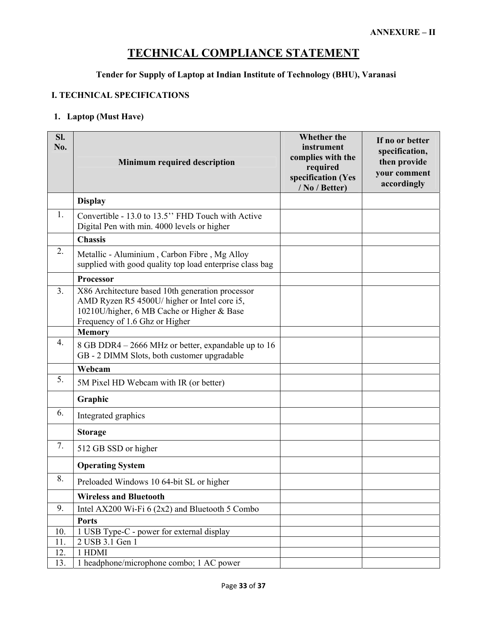# **TECHNICAL COMPLIANCE STATEMENT**

# **Tender for Supply of Laptop at Indian Institute of Technology (BHU), Varanasi**

### **I. TECHNICAL SPECIFICATIONS**

### **1. Laptop (Must Have)**

| SI.<br>No.     | <b>Minimum required description</b>                                                                                                                                              | <b>Whether the</b><br>instrument<br>complies with the<br>required<br>specification (Yes<br>/ No / Better) | If no or better<br>specification,<br>then provide<br>your comment<br>accordingly |
|----------------|----------------------------------------------------------------------------------------------------------------------------------------------------------------------------------|-----------------------------------------------------------------------------------------------------------|----------------------------------------------------------------------------------|
|                | <b>Display</b>                                                                                                                                                                   |                                                                                                           |                                                                                  |
| 1.             | Convertible - 13.0 to 13.5" FHD Touch with Active<br>Digital Pen with min. 4000 levels or higher                                                                                 |                                                                                                           |                                                                                  |
|                | <b>Chassis</b>                                                                                                                                                                   |                                                                                                           |                                                                                  |
| 2.             | Metallic - Aluminium, Carbon Fibre, Mg Alloy<br>supplied with good quality top load enterprise class bag                                                                         |                                                                                                           |                                                                                  |
|                | Processor                                                                                                                                                                        |                                                                                                           |                                                                                  |
| 3 <sub>1</sub> | X86 Architecture based 10th generation processor<br>AMD Ryzen R5 4500U/ higher or Intel core i5,<br>10210U/higher, 6 MB Cache or Higher & Base<br>Frequency of 1.6 Ghz or Higher |                                                                                                           |                                                                                  |
|                | <b>Memory</b>                                                                                                                                                                    |                                                                                                           |                                                                                  |
| 4.             | 8 GB DDR4 - 2666 MHz or better, expandable up to 16<br>GB - 2 DIMM Slots, both customer upgradable                                                                               |                                                                                                           |                                                                                  |
|                | Webcam                                                                                                                                                                           |                                                                                                           |                                                                                  |
| 5.             | 5M Pixel HD Webcam with IR (or better)                                                                                                                                           |                                                                                                           |                                                                                  |
|                | Graphic                                                                                                                                                                          |                                                                                                           |                                                                                  |
| 6.             | Integrated graphics                                                                                                                                                              |                                                                                                           |                                                                                  |
|                | <b>Storage</b>                                                                                                                                                                   |                                                                                                           |                                                                                  |
| 7.             | 512 GB SSD or higher                                                                                                                                                             |                                                                                                           |                                                                                  |
|                | <b>Operating System</b>                                                                                                                                                          |                                                                                                           |                                                                                  |
| 8.             | Preloaded Windows 10 64-bit SL or higher                                                                                                                                         |                                                                                                           |                                                                                  |
|                | <b>Wireless and Bluetooth</b>                                                                                                                                                    |                                                                                                           |                                                                                  |
| 9.             | Intel AX200 Wi-Fi $6(2x2)$ and Bluetooth 5 Combo                                                                                                                                 |                                                                                                           |                                                                                  |
|                | <b>Ports</b>                                                                                                                                                                     |                                                                                                           |                                                                                  |
| 10.            | 1 USB Type-C - power for external display                                                                                                                                        |                                                                                                           |                                                                                  |
| 11.            | 2 USB 3.1 Gen 1                                                                                                                                                                  |                                                                                                           |                                                                                  |
| 12.            | 1 HDMI                                                                                                                                                                           |                                                                                                           |                                                                                  |
| 13.            | 1 headphone/microphone combo; 1 AC power                                                                                                                                         |                                                                                                           |                                                                                  |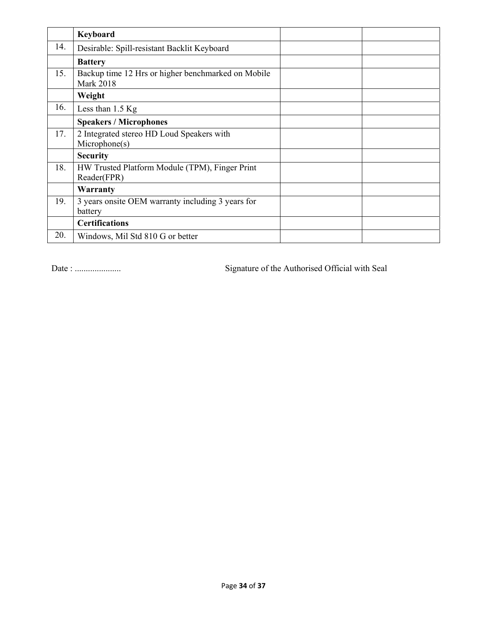|     | Keyboard                                                               |
|-----|------------------------------------------------------------------------|
| 14. | Desirable: Spill-resistant Backlit Keyboard                            |
|     | <b>Battery</b>                                                         |
| 15. | Backup time 12 Hrs or higher benchmarked on Mobile<br><b>Mark 2018</b> |
|     | Weight                                                                 |
| 16. | Less than $1.5$ Kg                                                     |
|     | <b>Speakers / Microphones</b>                                          |
| 17. | 2 Integrated stereo HD Loud Speakers with<br>Microphone(s)             |
|     | <b>Security</b>                                                        |
| 18. | HW Trusted Platform Module (TPM), Finger Print<br>Reader(FPR)          |
|     | Warranty                                                               |
| 19. | 3 years onsite OEM warranty including 3 years for<br>battery           |
|     | <b>Certifications</b>                                                  |
| 20. | Windows, Mil Std 810 G or better                                       |

Date : ..................... Signature of the Authorised Official with Seal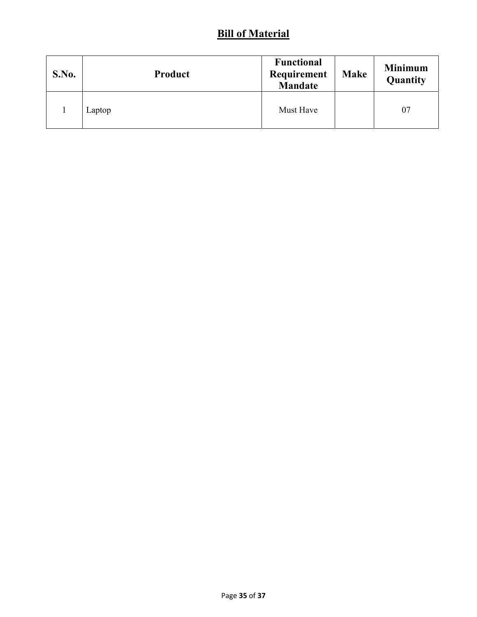# **Bill of Material**

| S.No. | Product | <b>Functional</b><br>Requirement<br><b>Mandate</b> | <b>Make</b> | <b>Minimum</b><br>Quantity |
|-------|---------|----------------------------------------------------|-------------|----------------------------|
|       | Laptop  | Must Have                                          |             | 07                         |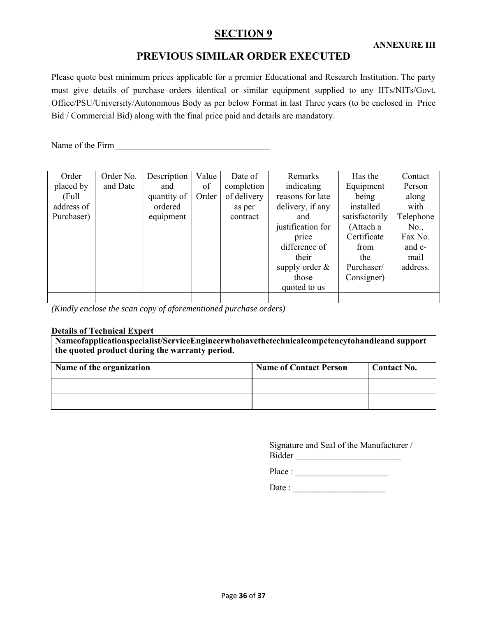# **SECTION 9**

# **PREVIOUS SIMILAR ORDER EXECUTED**

Please quote best minimum prices applicable for a premier Educational and Research Institution. The party must give details of purchase orders identical or similar equipment supplied to any IITs/NITs/Govt. Office/PSU/University/Autonomous Body as per below Format in last Three years (to be enclosed in Price Bid / Commercial Bid) along with the final price paid and details are mandatory.

Name of the Firm \_\_\_\_\_\_\_\_\_\_\_\_\_\_\_\_\_\_\_\_\_\_\_\_\_\_\_\_\_\_\_\_\_\_\_

| Order      | Order No. | Description | Value | Date of     | Remarks           | Has the        | Contact   |
|------------|-----------|-------------|-------|-------------|-------------------|----------------|-----------|
| placed by  | and Date  | and         | of    | completion  | indicating        | Equipment      | Person    |
| (Full)     |           | quantity of | Order | of delivery | reasons for late  | being          | along     |
| address of |           | ordered     |       | as per      | delivery, if any  | installed      | with      |
| Purchaser) |           | equipment   |       | contract    | and               | satisfactorily | Telephone |
|            |           |             |       |             | justification for | (Attach a      | No.,      |
|            |           |             |       |             | price             | Certificate    | Fax No.   |
|            |           |             |       |             | difference of     | from           | and e-    |
|            |           |             |       |             | their             | the            | mail      |
|            |           |             |       |             | supply order $\&$ | Purchaser/     | address.  |
|            |           |             |       |             | those             | Consigner)     |           |
|            |           |             |       |             | quoted to us      |                |           |
|            |           |             |       |             |                   |                |           |

*(Kindly enclose the scan copy of aforementioned purchase orders)* 

### **Details of Technical Expert**

**Nameofapplicationspecialist/ServiceEngineerwhohavethetechnicalcompetencytohandleand support the quoted product during the warranty period.**

| Name of the organization | <b>Name of Contact Person</b> | <b>Contact No.</b> |
|--------------------------|-------------------------------|--------------------|
|                          |                               |                    |
|                          |                               |                    |

Signature and Seal of the Manufacturer / Bidder \_\_\_\_\_\_\_\_\_\_\_\_\_\_\_\_\_\_\_\_\_\_\_\_

Place : \_\_\_\_\_\_\_\_\_\_\_\_\_\_\_\_\_\_\_\_\_

Date : \_\_\_\_\_\_\_\_\_\_\_\_\_\_\_\_\_\_\_\_\_